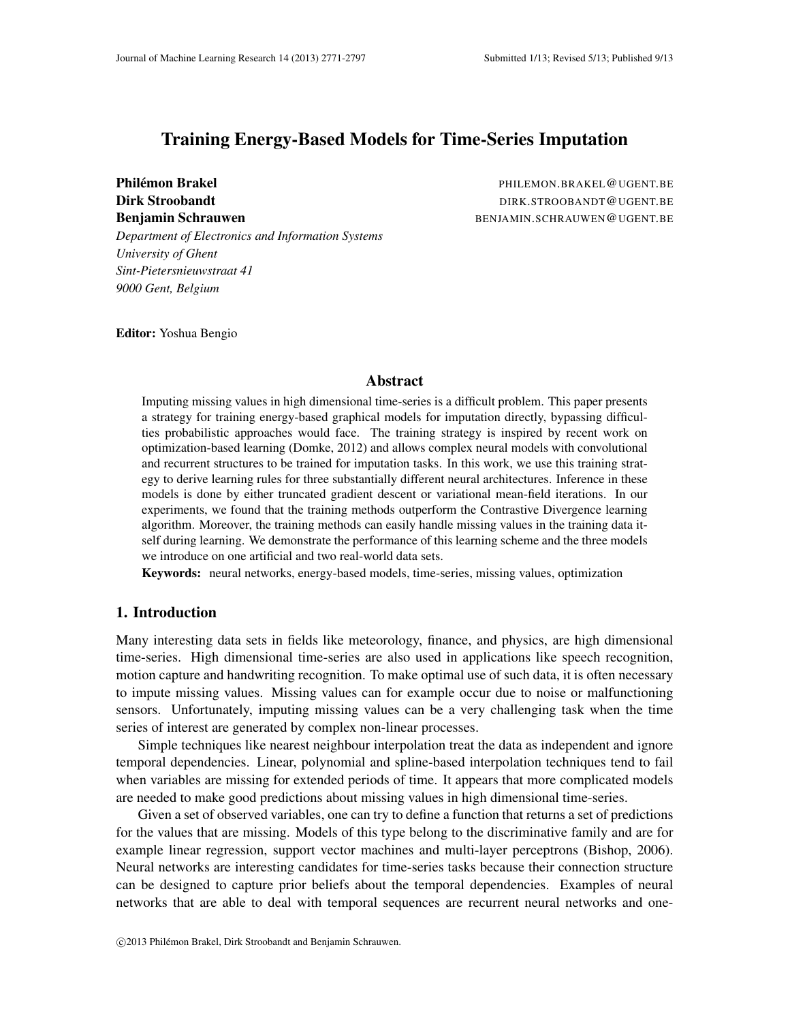# Training Energy-Based Models for Time-Series Imputation

Philémon Brakel **and Brakel and Brakel and Philemon.Brakel@UGENT.BE** Dirk Stroobandt DIRK.STROOBANDT@UGENT.BE Benjamin Schrauwen BENJAMIN.SCHRAUWEN@UGENT.BE

*Department of Electronics and Information Systems University of Ghent Sint-Pietersnieuwstraat 41 9000 Gent, Belgium*

Editor: Yoshua Bengio

#### Abstract

Imputing missing values in high dimensional time-series is a difficult problem. This paper presents a strategy for training energy-based graphical models for imputation directly, bypassing difficulties probabilistic approaches would face. The training strategy is inspired by recent work on optimization-based learning (Domke, 2012) and allows complex neural models with convolutional and recurrent structures to be trained for imputation tasks. In this work, we use this training strategy to derive learning rules for three substantially different neural architectures. Inference in these models is done by either truncated gradient descent or variational mean-field iterations. In our experiments, we found that the training methods outperform the Contrastive Divergence learning algorithm. Moreover, the training methods can easily handle missing values in the training data itself during learning. We demonstrate the performance of this learning scheme and the three models we introduce on one artificial and two real-world data sets.

Keywords: neural networks, energy-based models, time-series, missing values, optimization

### 1. Introduction

Many interesting data sets in fields like meteorology, finance, and physics, are high dimensional time-series. High dimensional time-series are also used in applications like speech recognition, motion capture and handwriting recognition. To make optimal use of such data, it is often necessary to impute missing values. Missing values can for example occur due to noise or malfunctioning sensors. Unfortunately, imputing missing values can be a very challenging task when the time series of interest are generated by complex non-linear processes.

Simple techniques like nearest neighbour interpolation treat the data as independent and ignore temporal dependencies. Linear, polynomial and spline-based interpolation techniques tend to fail when variables are missing for extended periods of time. It appears that more complicated models are needed to make good predictions about missing values in high dimensional time-series.

Given a set of observed variables, one can try to define a function that returns a set of predictions for the values that are missing. Models of this type belong to the discriminative family and are for example linear regression, support vector machines and multi-layer perceptrons (Bishop, 2006). Neural networks are interesting candidates for time-series tasks because their connection structure can be designed to capture prior beliefs about the temporal dependencies. Examples of neural networks that are able to deal with temporal sequences are recurrent neural networks and one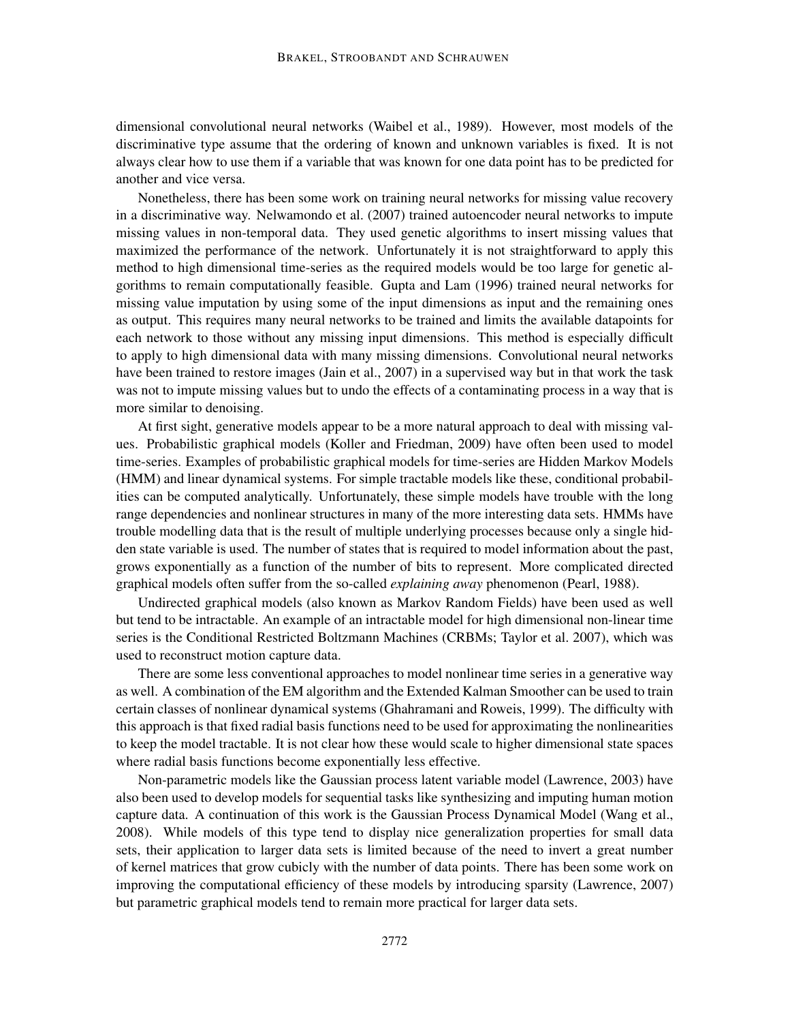dimensional convolutional neural networks (Waibel et al., 1989). However, most models of the discriminative type assume that the ordering of known and unknown variables is fixed. It is not always clear how to use them if a variable that was known for one data point has to be predicted for another and vice versa.

Nonetheless, there has been some work on training neural networks for missing value recovery in a discriminative way. Nelwamondo et al. (2007) trained autoencoder neural networks to impute missing values in non-temporal data. They used genetic algorithms to insert missing values that maximized the performance of the network. Unfortunately it is not straightforward to apply this method to high dimensional time-series as the required models would be too large for genetic algorithms to remain computationally feasible. Gupta and Lam (1996) trained neural networks for missing value imputation by using some of the input dimensions as input and the remaining ones as output. This requires many neural networks to be trained and limits the available datapoints for each network to those without any missing input dimensions. This method is especially difficult to apply to high dimensional data with many missing dimensions. Convolutional neural networks have been trained to restore images (Jain et al., 2007) in a supervised way but in that work the task was not to impute missing values but to undo the effects of a contaminating process in a way that is more similar to denoising.

At first sight, generative models appear to be a more natural approach to deal with missing values. Probabilistic graphical models (Koller and Friedman, 2009) have often been used to model time-series. Examples of probabilistic graphical models for time-series are Hidden Markov Models (HMM) and linear dynamical systems. For simple tractable models like these, conditional probabilities can be computed analytically. Unfortunately, these simple models have trouble with the long range dependencies and nonlinear structures in many of the more interesting data sets. HMMs have trouble modelling data that is the result of multiple underlying processes because only a single hidden state variable is used. The number of states that is required to model information about the past, grows exponentially as a function of the number of bits to represent. More complicated directed graphical models often suffer from the so-called *explaining away* phenomenon (Pearl, 1988).

Undirected graphical models (also known as Markov Random Fields) have been used as well but tend to be intractable. An example of an intractable model for high dimensional non-linear time series is the Conditional Restricted Boltzmann Machines (CRBMs; Taylor et al. 2007), which was used to reconstruct motion capture data.

There are some less conventional approaches to model nonlinear time series in a generative way as well. A combination of the EM algorithm and the Extended Kalman Smoother can be used to train certain classes of nonlinear dynamical systems (Ghahramani and Roweis, 1999). The difficulty with this approach is that fixed radial basis functions need to be used for approximating the nonlinearities to keep the model tractable. It is not clear how these would scale to higher dimensional state spaces where radial basis functions become exponentially less effective.

Non-parametric models like the Gaussian process latent variable model (Lawrence, 2003) have also been used to develop models for sequential tasks like synthesizing and imputing human motion capture data. A continuation of this work is the Gaussian Process Dynamical Model (Wang et al., 2008). While models of this type tend to display nice generalization properties for small data sets, their application to larger data sets is limited because of the need to invert a great number of kernel matrices that grow cubicly with the number of data points. There has been some work on improving the computational efficiency of these models by introducing sparsity (Lawrence, 2007) but parametric graphical models tend to remain more practical for larger data sets.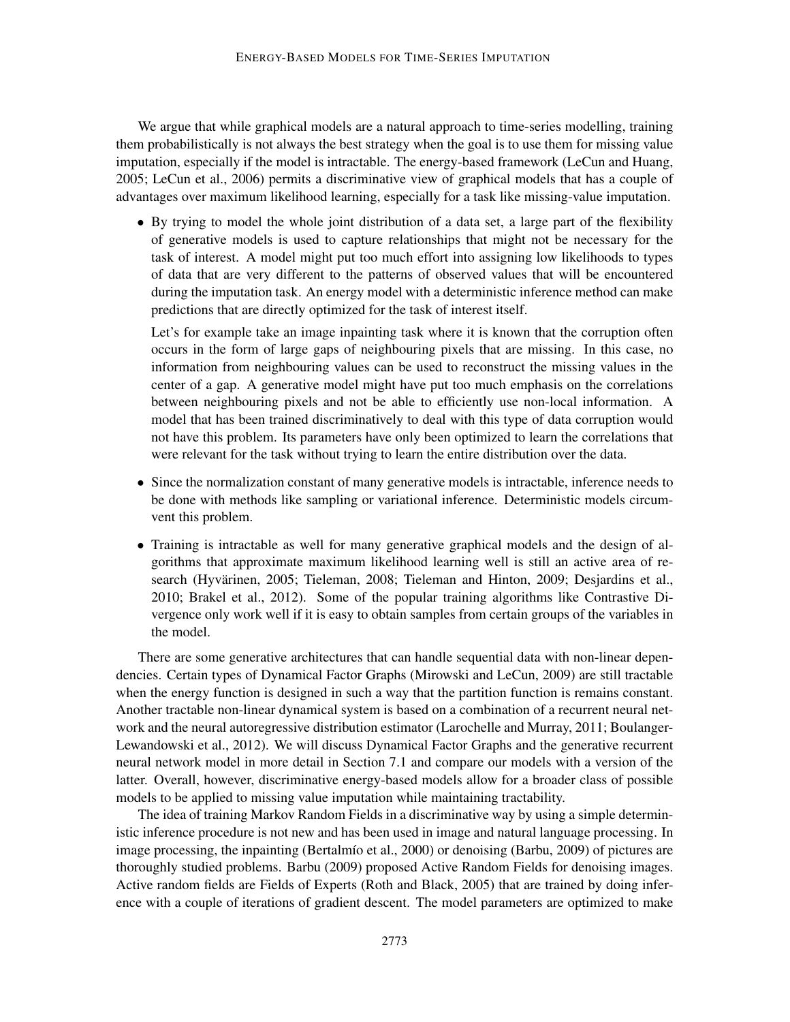We argue that while graphical models are a natural approach to time-series modelling, training them probabilistically is not always the best strategy when the goal is to use them for missing value imputation, especially if the model is intractable. The energy-based framework (LeCun and Huang, 2005; LeCun et al., 2006) permits a discriminative view of graphical models that has a couple of advantages over maximum likelihood learning, especially for a task like missing-value imputation.

• By trying to model the whole joint distribution of a data set, a large part of the flexibility of generative models is used to capture relationships that might not be necessary for the task of interest. A model might put too much effort into assigning low likelihoods to types of data that are very different to the patterns of observed values that will be encountered during the imputation task. An energy model with a deterministic inference method can make predictions that are directly optimized for the task of interest itself.

Let's for example take an image inpainting task where it is known that the corruption often occurs in the form of large gaps of neighbouring pixels that are missing. In this case, no information from neighbouring values can be used to reconstruct the missing values in the center of a gap. A generative model might have put too much emphasis on the correlations between neighbouring pixels and not be able to efficiently use non-local information. A model that has been trained discriminatively to deal with this type of data corruption would not have this problem. Its parameters have only been optimized to learn the correlations that were relevant for the task without trying to learn the entire distribution over the data.

- Since the normalization constant of many generative models is intractable, inference needs to be done with methods like sampling or variational inference. Deterministic models circumvent this problem.
- Training is intractable as well for many generative graphical models and the design of algorithms that approximate maximum likelihood learning well is still an active area of research (Hyvärinen, 2005; Tieleman, 2008; Tieleman and Hinton, 2009; Desjardins et al., 2010; Brakel et al., 2012). Some of the popular training algorithms like Contrastive Divergence only work well if it is easy to obtain samples from certain groups of the variables in the model.

There are some generative architectures that can handle sequential data with non-linear dependencies. Certain types of Dynamical Factor Graphs (Mirowski and LeCun, 2009) are still tractable when the energy function is designed in such a way that the partition function is remains constant. Another tractable non-linear dynamical system is based on a combination of a recurrent neural network and the neural autoregressive distribution estimator (Larochelle and Murray, 2011; Boulanger-Lewandowski et al., 2012). We will discuss Dynamical Factor Graphs and the generative recurrent neural network model in more detail in Section 7.1 and compare our models with a version of the latter. Overall, however, discriminative energy-based models allow for a broader class of possible models to be applied to missing value imputation while maintaining tractability.

The idea of training Markov Random Fields in a discriminative way by using a simple deterministic inference procedure is not new and has been used in image and natural language processing. In image processing, the inpainting (Bertalmío et al., 2000) or denoising (Barbu, 2009) of pictures are thoroughly studied problems. Barbu (2009) proposed Active Random Fields for denoising images. Active random fields are Fields of Experts (Roth and Black, 2005) that are trained by doing inference with a couple of iterations of gradient descent. The model parameters are optimized to make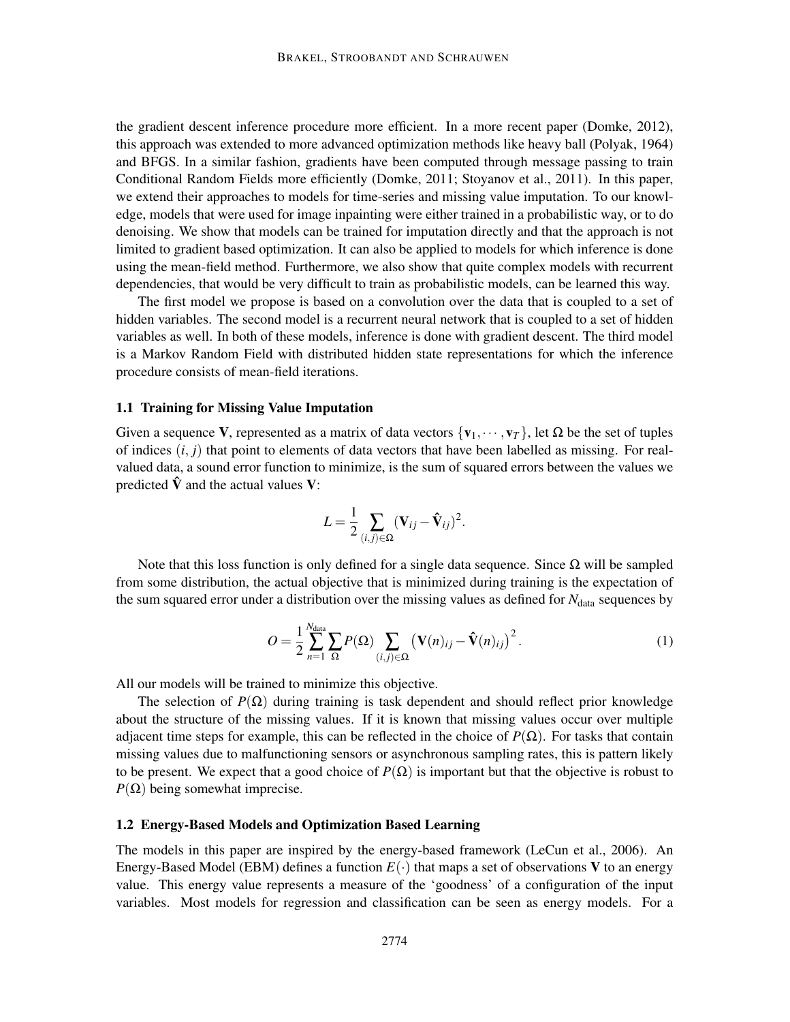the gradient descent inference procedure more efficient. In a more recent paper (Domke, 2012), this approach was extended to more advanced optimization methods like heavy ball (Polyak, 1964) and BFGS. In a similar fashion, gradients have been computed through message passing to train Conditional Random Fields more efficiently (Domke, 2011; Stoyanov et al., 2011). In this paper, we extend their approaches to models for time-series and missing value imputation. To our knowledge, models that were used for image inpainting were either trained in a probabilistic way, or to do denoising. We show that models can be trained for imputation directly and that the approach is not limited to gradient based optimization. It can also be applied to models for which inference is done using the mean-field method. Furthermore, we also show that quite complex models with recurrent dependencies, that would be very difficult to train as probabilistic models, can be learned this way.

The first model we propose is based on a convolution over the data that is coupled to a set of hidden variables. The second model is a recurrent neural network that is coupled to a set of hidden variables as well. In both of these models, inference is done with gradient descent. The third model is a Markov Random Field with distributed hidden state representations for which the inference procedure consists of mean-field iterations.

#### 1.1 Training for Missing Value Imputation

Given a sequence V, represented as a matrix of data vectors  $\{v_1,\dots,v_T\}$ , let  $\Omega$  be the set of tuples of indices  $(i, j)$  that point to elements of data vectors that have been labelled as missing. For realvalued data, a sound error function to minimize, is the sum of squared errors between the values we predicted  $\hat{V}$  and the actual values V:

$$
L = \frac{1}{2} \sum_{(i,j) \in \Omega} (\mathbf{V}_{ij} - \mathbf{\hat{V}}_{ij})^2.
$$

Note that this loss function is only defined for a single data sequence. Since  $Ω$  will be sampled from some distribution, the actual objective that is minimized during training is the expectation of the sum squared error under a distribution over the missing values as defined for *N*<sub>data</sub> sequences by

$$
O = \frac{1}{2} \sum_{n=1}^{N_{\text{data}}} \sum_{\Omega} P(\Omega) \sum_{(i,j) \in \Omega} \left( \mathbf{V}(n)_{ij} - \mathbf{\hat{V}}(n)_{ij} \right)^2.
$$
 (1)

All our models will be trained to minimize this objective.

*N*data

The selection of  $P(\Omega)$  during training is task dependent and should reflect prior knowledge about the structure of the missing values. If it is known that missing values occur over multiple adjacent time steps for example, this can be reflected in the choice of  $P(\Omega)$ . For tasks that contain missing values due to malfunctioning sensors or asynchronous sampling rates, this is pattern likely to be present. We expect that a good choice of  $P(\Omega)$  is important but that the objective is robust to  $P(\Omega)$  being somewhat imprecise.

### 1.2 Energy-Based Models and Optimization Based Learning

The models in this paper are inspired by the energy-based framework (LeCun et al., 2006). An Energy-Based Model (EBM) defines a function  $E(\cdot)$  that maps a set of observations V to an energy value. This energy value represents a measure of the 'goodness' of a configuration of the input variables. Most models for regression and classification can be seen as energy models. For a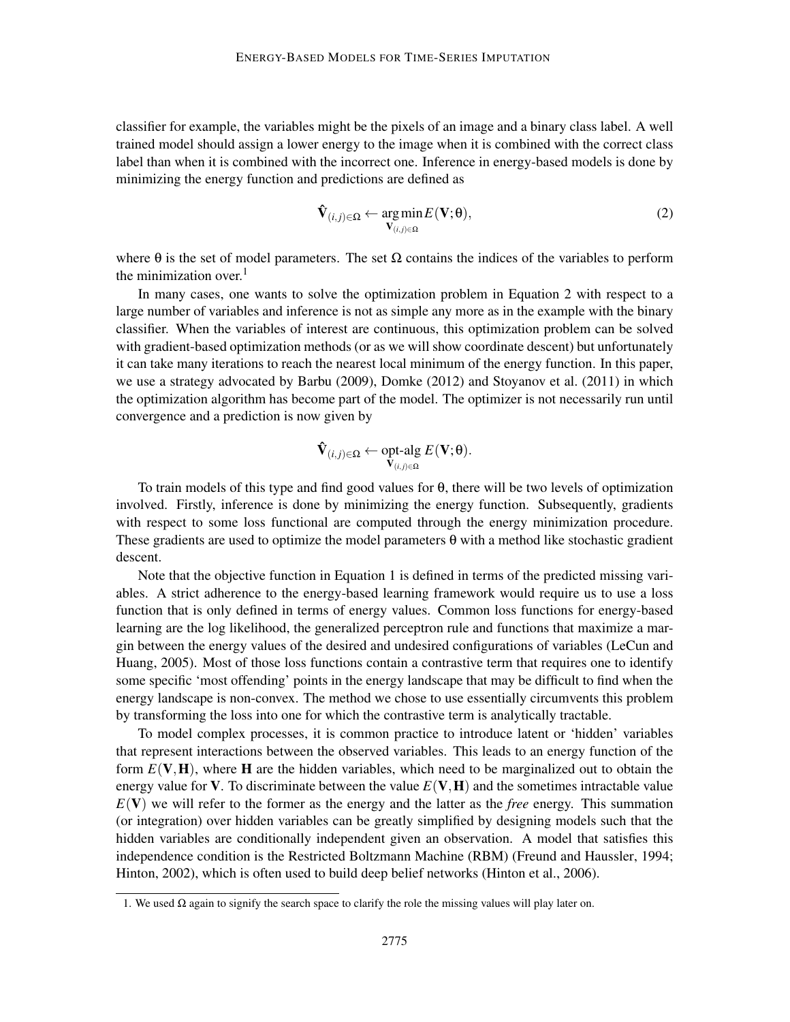classifier for example, the variables might be the pixels of an image and a binary class label. A well trained model should assign a lower energy to the image when it is combined with the correct class label than when it is combined with the incorrect one. Inference in energy-based models is done by minimizing the energy function and predictions are defined as

$$
\hat{\mathbf{V}}_{(i,j)\in\Omega} \leftarrow \underset{\mathbf{V}_{(i,j)\in\Omega}}{\arg\min} E(\mathbf{V};\theta),\tag{2}
$$

where  $\theta$  is the set of model parameters. The set  $\Omega$  contains the indices of the variables to perform the minimization over. $<sup>1</sup>$ </sup>

In many cases, one wants to solve the optimization problem in Equation 2 with respect to a large number of variables and inference is not as simple any more as in the example with the binary classifier. When the variables of interest are continuous, this optimization problem can be solved with gradient-based optimization methods (or as we will show coordinate descent) but unfortunately it can take many iterations to reach the nearest local minimum of the energy function. In this paper, we use a strategy advocated by Barbu (2009), Domke (2012) and Stoyanov et al. (2011) in which the optimization algorithm has become part of the model. The optimizer is not necessarily run until convergence and a prediction is now given by

$$
\mathbf{\hat{V}}_{(i,j)\in\Omega}\leftarrow \underset{\mathbf{V}_{(i,j)\in\Omega}}{\text{opt-alg}}\ E\big(\mathbf{V};\theta\big).
$$

To train models of this type and find good values for θ, there will be two levels of optimization involved. Firstly, inference is done by minimizing the energy function. Subsequently, gradients with respect to some loss functional are computed through the energy minimization procedure. These gradients are used to optimize the model parameters  $\theta$  with a method like stochastic gradient descent.

Note that the objective function in Equation 1 is defined in terms of the predicted missing variables. A strict adherence to the energy-based learning framework would require us to use a loss function that is only defined in terms of energy values. Common loss functions for energy-based learning are the log likelihood, the generalized perceptron rule and functions that maximize a margin between the energy values of the desired and undesired configurations of variables (LeCun and Huang, 2005). Most of those loss functions contain a contrastive term that requires one to identify some specific 'most offending' points in the energy landscape that may be difficult to find when the energy landscape is non-convex. The method we chose to use essentially circumvents this problem by transforming the loss into one for which the contrastive term is analytically tractable.

To model complex processes, it is common practice to introduce latent or 'hidden' variables that represent interactions between the observed variables. This leads to an energy function of the form  $E(V, H)$ , where H are the hidden variables, which need to be marginalized out to obtain the energy value for **V**. To discriminate between the value  $E(V, H)$  and the sometimes intractable value  $E(V)$  we will refer to the former as the energy and the latter as the *free* energy. This summation (or integration) over hidden variables can be greatly simplified by designing models such that the hidden variables are conditionally independent given an observation. A model that satisfies this independence condition is the Restricted Boltzmann Machine (RBM) (Freund and Haussler, 1994; Hinton, 2002), which is often used to build deep belief networks (Hinton et al., 2006).

<sup>1.</sup> We used  $\Omega$  again to signify the search space to clarify the role the missing values will play later on.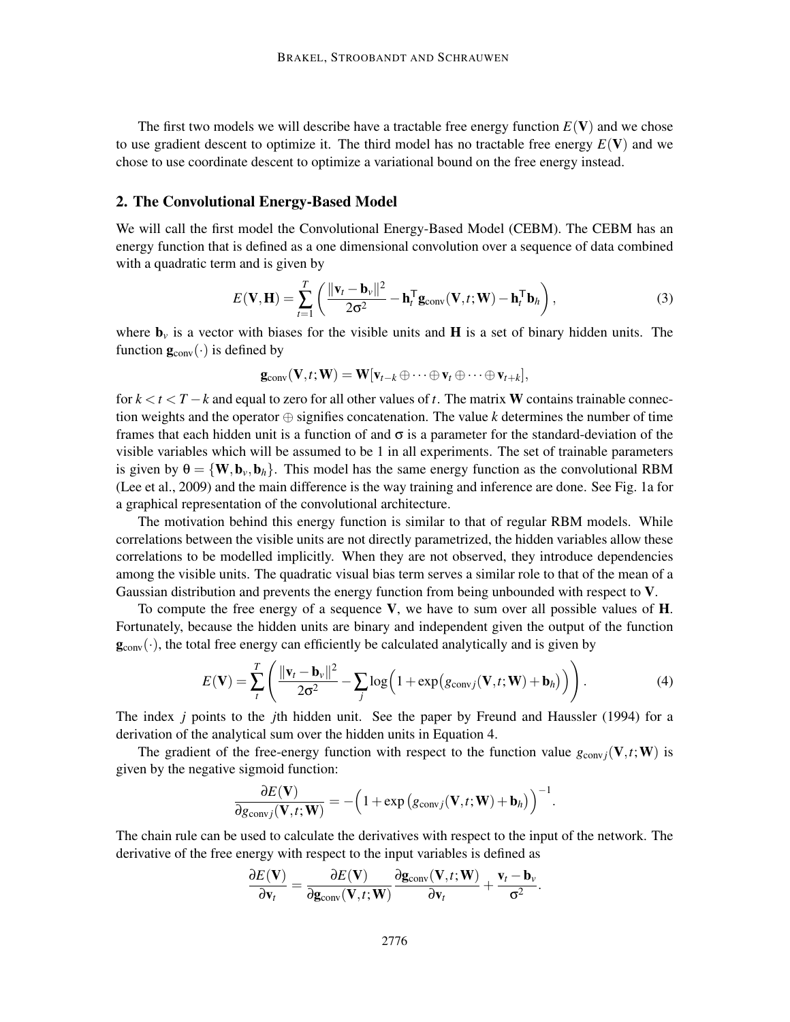The first two models we will describe have a tractable free energy function  $E(V)$  and we chose to use gradient descent to optimize it. The third model has no tractable free energy  $E(V)$  and we chose to use coordinate descent to optimize a variational bound on the free energy instead.

#### 2. The Convolutional Energy-Based Model

We will call the first model the Convolutional Energy-Based Model (CEBM). The CEBM has an energy function that is defined as a one dimensional convolution over a sequence of data combined with a quadratic term and is given by

$$
E(\mathbf{V}, \mathbf{H}) = \sum_{t=1}^{T} \left( \frac{\|\mathbf{v}_t - \mathbf{b}_v\|^2}{2\sigma^2} - \mathbf{h}_t^{\mathsf{T}} \mathbf{g}_{\text{conv}}(\mathbf{V}, t; \mathbf{W}) - \mathbf{h}_t^{\mathsf{T}} \mathbf{b}_h \right),\tag{3}
$$

where  $\mathbf{b}_\nu$  is a vector with biases for the visible units and **H** is a set of binary hidden units. The function  $\mathbf{g}_{\text{conv}}(\cdot)$  is defined by

$$
\mathbf{g}_{\text{conv}}(\mathbf{V},t;\mathbf{W})=\mathbf{W}[\mathbf{v}_{t-k}\oplus\cdots\oplus\mathbf{v}_{t}\oplus\cdots\oplus\mathbf{v}_{t+k}],
$$

for *k* < *t* < *T* −*k* and equal to zero for all other values of *t*. The matrix W contains trainable connection weights and the operator  $\oplus$  signifies concatenation. The value *k* determines the number of time frames that each hidden unit is a function of and  $\sigma$  is a parameter for the standard-deviation of the visible variables which will be assumed to be 1 in all experiments. The set of trainable parameters is given by  $\theta = \{W, b_v, b_h\}$ . This model has the same energy function as the convolutional RBM (Lee et al., 2009) and the main difference is the way training and inference are done. See Fig. 1a for a graphical representation of the convolutional architecture.

The motivation behind this energy function is similar to that of regular RBM models. While correlations between the visible units are not directly parametrized, the hidden variables allow these correlations to be modelled implicitly. When they are not observed, they introduce dependencies among the visible units. The quadratic visual bias term serves a similar role to that of the mean of a Gaussian distribution and prevents the energy function from being unbounded with respect to V.

To compute the free energy of a sequence  $V$ , we have to sum over all possible values of  $H$ . Fortunately, because the hidden units are binary and independent given the output of the function  $\mathbf{g}_{\text{conv}}(\cdot)$ , the total free energy can efficiently be calculated analytically and is given by

$$
E(\mathbf{V}) = \sum_{t}^{T} \left( \frac{\|\mathbf{v}_{t} - \mathbf{b}_{v}\|^2}{2\sigma^2} - \sum_{j} \log\left(1 + \exp(g_{\text{conv},j}(\mathbf{V}, t; \mathbf{W}) + \mathbf{b}_{h})\right) \right).
$$
 (4)

.

The index *j* points to the *j*th hidden unit. See the paper by Freund and Haussler (1994) for a derivation of the analytical sum over the hidden units in Equation 4.

The gradient of the free-energy function with respect to the function value  $g_{\text{conv }i}(\mathbf{V},t;\mathbf{W})$  is given by the negative sigmoid function:

$$
\frac{\partial E(\mathbf{V})}{\partial g_{\text{conv},j}(\mathbf{V},t;\mathbf{W})} = -\Big(1+\exp\big(g_{\text{conv},j}(\mathbf{V},t;\mathbf{W})+\mathbf{b}_h\big)\Big)^{-1}.
$$

The chain rule can be used to calculate the derivatives with respect to the input of the network. The derivative of the free energy with respect to the input variables is defined as

$$
\frac{\partial E(\mathbf{V})}{\partial \mathbf{v}_t} = \frac{\partial E(\mathbf{V})}{\partial \mathbf{g}_{conv}(\mathbf{V}, t; \mathbf{W})} \frac{\partial \mathbf{g}_{conv}(\mathbf{V}, t; \mathbf{W})}{\partial \mathbf{v}_t} + \frac{\mathbf{v}_t - \mathbf{b}_v}{\sigma^2}
$$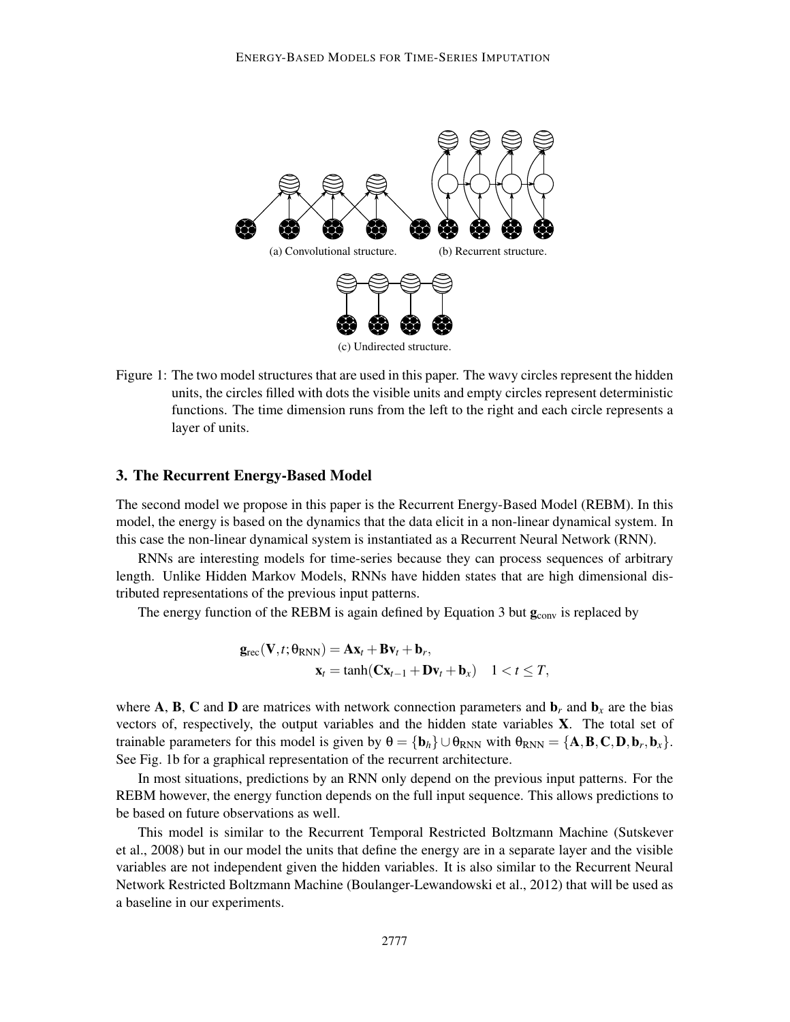

Figure 1: The two model structures that are used in this paper. The wavy circles represent the hidden units, the circles filled with dots the visible units and empty circles represent deterministic functions. The time dimension runs from the left to the right and each circle represents a layer of units.

#### 3. The Recurrent Energy-Based Model

The second model we propose in this paper is the Recurrent Energy-Based Model (REBM). In this model, the energy is based on the dynamics that the data elicit in a non-linear dynamical system. In this case the non-linear dynamical system is instantiated as a Recurrent Neural Network (RNN).

RNNs are interesting models for time-series because they can process sequences of arbitrary length. Unlike Hidden Markov Models, RNNs have hidden states that are high dimensional distributed representations of the previous input patterns.

The energy function of the REBM is again defined by Equation 3 but  $\mathbf{g}_{\text{conv}}$  is replaced by

$$
\mathbf{g}_{\text{rec}}(\mathbf{V},t;\boldsymbol{\theta}_{\text{RNN}}) = \mathbf{A}\mathbf{x}_t + \mathbf{B}\mathbf{v}_t + \mathbf{b}_r, \mathbf{x}_t = \tanh(\mathbf{C}\mathbf{x}_{t-1} + \mathbf{D}\mathbf{v}_t + \mathbf{b}_x) \quad 1 < t \leq T,
$$

where A, B, C and D are matrices with network connection parameters and  $\mathbf{b}_r$  and  $\mathbf{b}_x$  are the bias vectors of, respectively, the output variables and the hidden state variables X. The total set of trainable parameters for this model is given by  $\theta = {\bf{b}}_h$   $\cup \theta_{RNN}$  with  $\theta_{RNN} = {\bf{A}}, {\bf{B}}, {\bf{C}}, {\bf{D}}, {\bf{b}}_r, {\bf{b}}_x$ . See Fig. 1b for a graphical representation of the recurrent architecture.

In most situations, predictions by an RNN only depend on the previous input patterns. For the REBM however, the energy function depends on the full input sequence. This allows predictions to be based on future observations as well.

This model is similar to the Recurrent Temporal Restricted Boltzmann Machine (Sutskever et al., 2008) but in our model the units that define the energy are in a separate layer and the visible variables are not independent given the hidden variables. It is also similar to the Recurrent Neural Network Restricted Boltzmann Machine (Boulanger-Lewandowski et al., 2012) that will be used as a baseline in our experiments.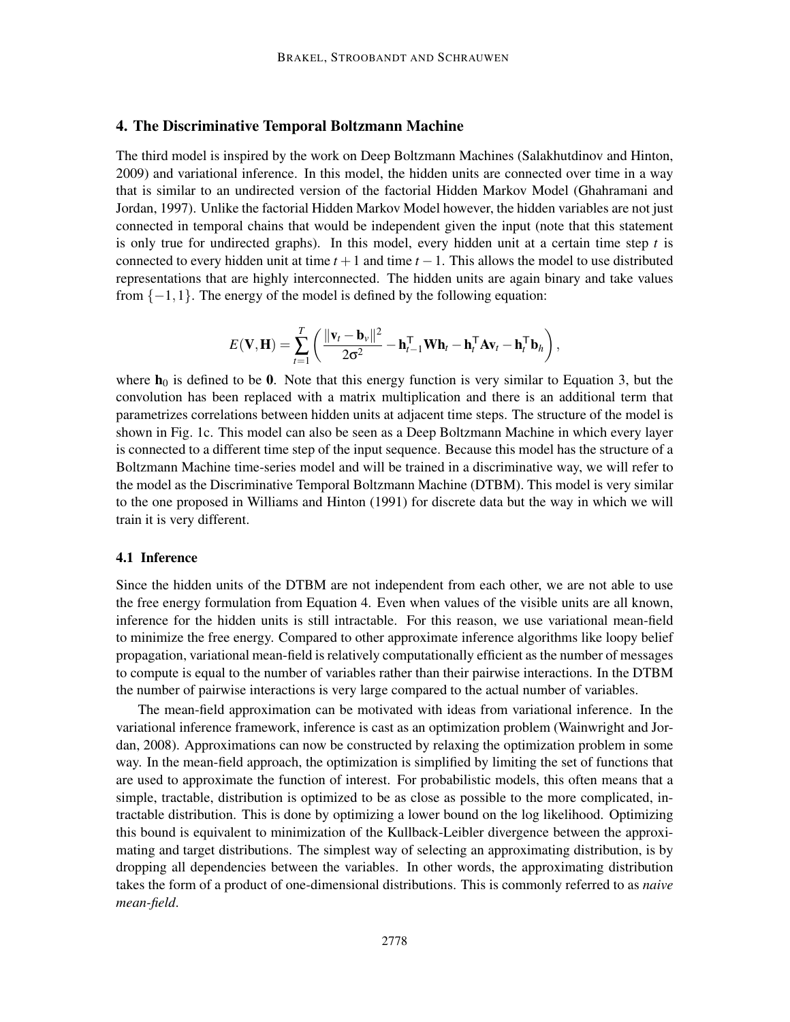### 4. The Discriminative Temporal Boltzmann Machine

The third model is inspired by the work on Deep Boltzmann Machines (Salakhutdinov and Hinton, 2009) and variational inference. In this model, the hidden units are connected over time in a way that is similar to an undirected version of the factorial Hidden Markov Model (Ghahramani and Jordan, 1997). Unlike the factorial Hidden Markov Model however, the hidden variables are not just connected in temporal chains that would be independent given the input (note that this statement is only true for undirected graphs). In this model, every hidden unit at a certain time step *t* is connected to every hidden unit at time  $t + 1$  and time  $t - 1$ . This allows the model to use distributed representations that are highly interconnected. The hidden units are again binary and take values from  $\{-1,1\}$ . The energy of the model is defined by the following equation:

$$
E(\mathbf{V}, \mathbf{H}) = \sum_{t=1}^{T} \left( \frac{\|\mathbf{v}_t - \mathbf{b}_v\|^2}{2\sigma^2} - \mathbf{h}_{t-1}^{\mathsf{T}} \mathbf{W} \mathbf{h}_t - \mathbf{h}_t^{\mathsf{T}} \mathbf{A} \mathbf{v}_t - \mathbf{h}_t^{\mathsf{T}} \mathbf{b}_h \right),
$$

where  $h_0$  is defined to be 0. Note that this energy function is very similar to Equation 3, but the convolution has been replaced with a matrix multiplication and there is an additional term that parametrizes correlations between hidden units at adjacent time steps. The structure of the model is shown in Fig. 1c. This model can also be seen as a Deep Boltzmann Machine in which every layer is connected to a different time step of the input sequence. Because this model has the structure of a Boltzmann Machine time-series model and will be trained in a discriminative way, we will refer to the model as the Discriminative Temporal Boltzmann Machine (DTBM). This model is very similar to the one proposed in Williams and Hinton (1991) for discrete data but the way in which we will train it is very different.

#### 4.1 Inference

Since the hidden units of the DTBM are not independent from each other, we are not able to use the free energy formulation from Equation 4. Even when values of the visible units are all known, inference for the hidden units is still intractable. For this reason, we use variational mean-field to minimize the free energy. Compared to other approximate inference algorithms like loopy belief propagation, variational mean-field is relatively computationally efficient as the number of messages to compute is equal to the number of variables rather than their pairwise interactions. In the DTBM the number of pairwise interactions is very large compared to the actual number of variables.

The mean-field approximation can be motivated with ideas from variational inference. In the variational inference framework, inference is cast as an optimization problem (Wainwright and Jordan, 2008). Approximations can now be constructed by relaxing the optimization problem in some way. In the mean-field approach, the optimization is simplified by limiting the set of functions that are used to approximate the function of interest. For probabilistic models, this often means that a simple, tractable, distribution is optimized to be as close as possible to the more complicated, intractable distribution. This is done by optimizing a lower bound on the log likelihood. Optimizing this bound is equivalent to minimization of the Kullback-Leibler divergence between the approximating and target distributions. The simplest way of selecting an approximating distribution, is by dropping all dependencies between the variables. In other words, the approximating distribution takes the form of a product of one-dimensional distributions. This is commonly referred to as *naive mean-field*.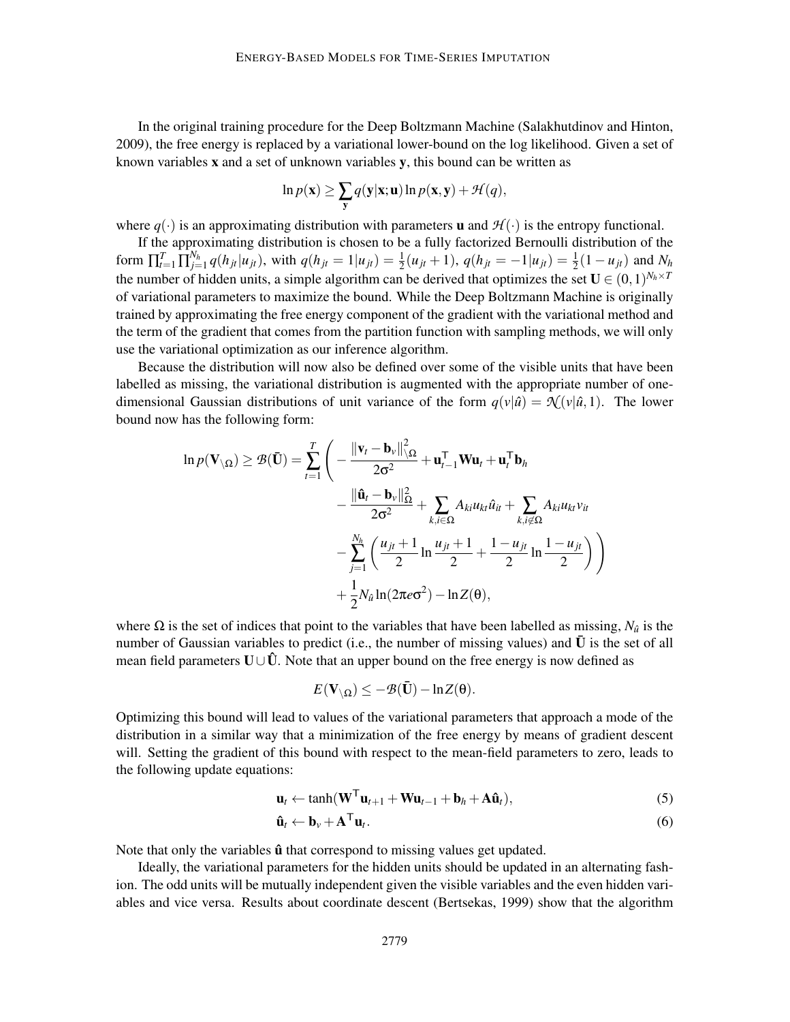In the original training procedure for the Deep Boltzmann Machine (Salakhutdinov and Hinton, 2009), the free energy is replaced by a variational lower-bound on the log likelihood. Given a set of known variables x and a set of unknown variables y, this bound can be written as

$$
\ln p(\mathbf{x}) \ge \sum_{\mathbf{y}} q(\mathbf{y}|\mathbf{x}; \mathbf{u}) \ln p(\mathbf{x}, \mathbf{y}) + \mathcal{H}(q),
$$

where  $q(\cdot)$  is an approximating distribution with parameters **u** and  $\mathcal{H}(\cdot)$  is the entropy functional.

If the approximating distribution is chosen to be a fully factorized Bernoulli distribution of the form  $\prod_{t=1}^T \prod_{j=1}^{N_h} q(h_{jt} | u_{jt})$ , with  $q(h_{jt} = 1 | u_{jt}) = \frac{1}{2}(u_{jt} + 1)$ ,  $q(h_{jt} = -1 | u_{jt}) = \frac{1}{2}(1 - u_{jt})$  and  $N_h$ the number of hidden units, a simple algorithm can be derived that optimizes the set  $\mathbf{U} \in (0,1)^{N_h \times T}$ of variational parameters to maximize the bound. While the Deep Boltzmann Machine is originally trained by approximating the free energy component of the gradient with the variational method and the term of the gradient that comes from the partition function with sampling methods, we will only use the variational optimization as our inference algorithm.

Because the distribution will now also be defined over some of the visible units that have been labelled as missing, the variational distribution is augmented with the appropriate number of onedimensional Gaussian distributions of unit variance of the form  $q(v|\hat{u}) = \mathcal{N}(v|\hat{u}, 1)$ . The lower bound now has the following form:

$$
\ln p(\mathbf{V}_{\setminus\Omega}) \geq \mathcal{B}(\mathbf{\bar{U}}) = \sum_{t=1}^{T} \left( -\frac{\|\mathbf{v}_t - \mathbf{b}_v\|_{\setminus\Omega}^2}{2\sigma^2} + \mathbf{u}_{t-1}^\top \mathbf{W} \mathbf{u}_t + \mathbf{u}_t^\top \mathbf{b}_h \right. \\ \left. - \frac{\|\hat{\mathbf{u}}_t - \mathbf{b}_v\|_{\Omega}^2}{2\sigma^2} + \sum_{k,i\in\Omega} A_{ki} u_{ki} \hat{u}_{it} + \sum_{k,i\in\Omega} A_{ki} u_{kt} v_{it} \right. \\ \left. - \sum_{j=1}^{N_h} \left( \frac{u_{jt} + 1}{2} \ln \frac{u_{jt} + 1}{2} + \frac{1 - u_{jt}}{2} \ln \frac{1 - u_{jt}}{2} \right) \right) + \frac{1}{2} N_{\hat{u}} \ln(2\pi e \sigma^2) - \ln Z(\theta),
$$

where  $\Omega$  is the set of indices that point to the variables that have been labelled as missing,  $N_{\hat{u}}$  is the number of Gaussian variables to predict (i.e., the number of missing values) and  $\bar{U}$  is the set of all mean field parameters  $U\cup \hat{U}$ . Note that an upper bound on the free energy is now defined as

$$
E(\mathbf{V}_{\setminus\Omega})\leq -\mathcal{B}(\bar{\mathbf{U}})-\ln Z(\theta).
$$

Optimizing this bound will lead to values of the variational parameters that approach a mode of the distribution in a similar way that a minimization of the free energy by means of gradient descent will. Setting the gradient of this bound with respect to the mean-field parameters to zero, leads to the following update equations:

$$
\mathbf{u}_t \leftarrow \tanh(\mathbf{W}^{\mathsf{T}} \mathbf{u}_{t+1} + \mathbf{W} \mathbf{u}_{t-1} + \mathbf{b}_h + \mathbf{A} \hat{\mathbf{u}}_t), \tag{5}
$$

$$
\hat{\mathbf{u}}_t \leftarrow \mathbf{b}_v + \mathbf{A}^\mathsf{T} \mathbf{u}_t. \tag{6}
$$

Note that only the variables  $\hat{u}$  that correspond to missing values get updated.

Ideally, the variational parameters for the hidden units should be updated in an alternating fashion. The odd units will be mutually independent given the visible variables and the even hidden variables and vice versa. Results about coordinate descent (Bertsekas, 1999) show that the algorithm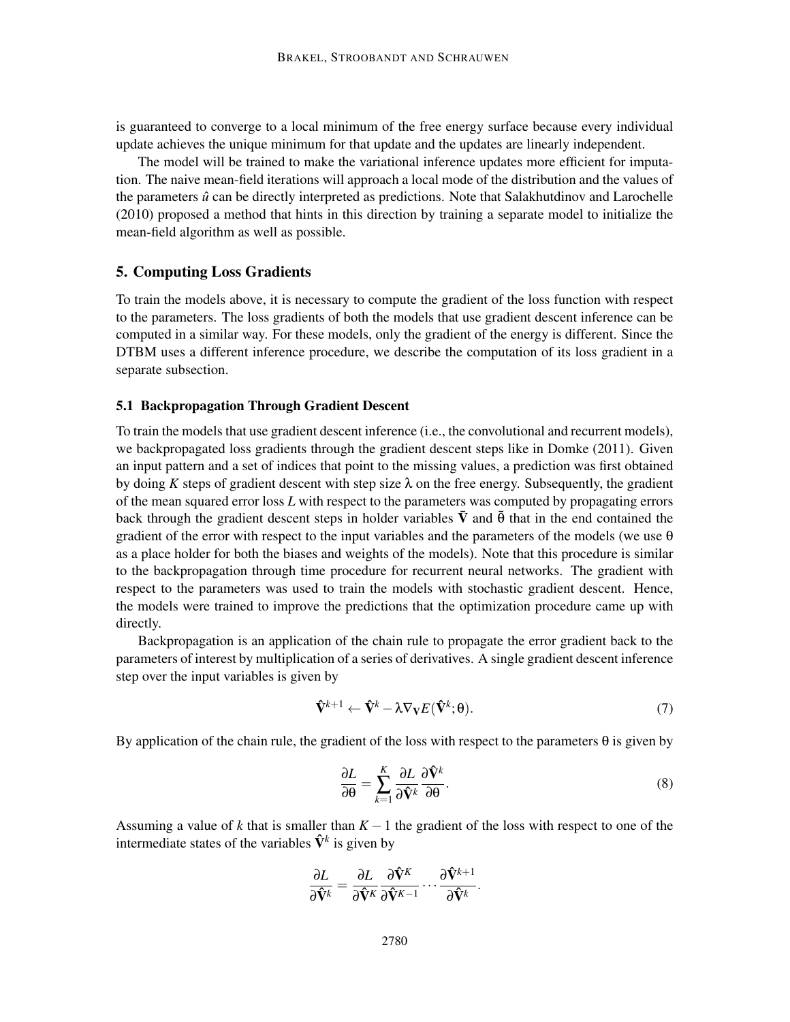is guaranteed to converge to a local minimum of the free energy surface because every individual update achieves the unique minimum for that update and the updates are linearly independent.

The model will be trained to make the variational inference updates more efficient for imputation. The naive mean-field iterations will approach a local mode of the distribution and the values of the parameters  $\hat{u}$  can be directly interpreted as predictions. Note that Salakhutdinov and Larochelle (2010) proposed a method that hints in this direction by training a separate model to initialize the mean-field algorithm as well as possible.

#### 5. Computing Loss Gradients

To train the models above, it is necessary to compute the gradient of the loss function with respect to the parameters. The loss gradients of both the models that use gradient descent inference can be computed in a similar way. For these models, only the gradient of the energy is different. Since the DTBM uses a different inference procedure, we describe the computation of its loss gradient in a separate subsection.

### 5.1 Backpropagation Through Gradient Descent

To train the models that use gradient descent inference (i.e., the convolutional and recurrent models), we backpropagated loss gradients through the gradient descent steps like in Domke (2011). Given an input pattern and a set of indices that point to the missing values, a prediction was first obtained by doing *K* steps of gradient descent with step size  $\lambda$  on the free energy. Subsequently, the gradient of the mean squared error loss *L* with respect to the parameters was computed by propagating errors back through the gradient descent steps in holder variables  $\bar{V}$  and  $\bar{\theta}$  that in the end contained the gradient of the error with respect to the input variables and the parameters of the models (we use  $\theta$ as a place holder for both the biases and weights of the models). Note that this procedure is similar to the backpropagation through time procedure for recurrent neural networks. The gradient with respect to the parameters was used to train the models with stochastic gradient descent. Hence, the models were trained to improve the predictions that the optimization procedure came up with directly.

Backpropagation is an application of the chain rule to propagate the error gradient back to the parameters of interest by multiplication of a series of derivatives. A single gradient descent inference step over the input variables is given by

$$
\hat{\mathbf{V}}^{k+1} \leftarrow \hat{\mathbf{V}}^k - \lambda \nabla_{\mathbf{V}} E(\hat{\mathbf{V}}^k; \boldsymbol{\theta}).\tag{7}
$$

By application of the chain rule, the gradient of the loss with respect to the parameters  $\theta$  is given by

$$
\frac{\partial L}{\partial \theta} = \sum_{k=1}^{K} \frac{\partial L}{\partial \hat{\mathbf{V}}^k} \frac{\partial \hat{\mathbf{V}}^k}{\partial \theta}.
$$
 (8)

Assuming a value of *k* that is smaller than  $K-1$  the gradient of the loss with respect to one of the intermediate states of the variables  $\hat{\mathbf{V}}^k$  is given by

$$
\frac{\partial L}{\partial \hat{\mathbf{V}}^k} = \frac{\partial L}{\partial \hat{\mathbf{V}}^K} \frac{\partial \hat{\mathbf{V}}^K}{\partial \hat{\mathbf{V}}^{K-1}} \cdots \frac{\partial \hat{\mathbf{V}}^{k+1}}{\partial \hat{\mathbf{V}}^k}.
$$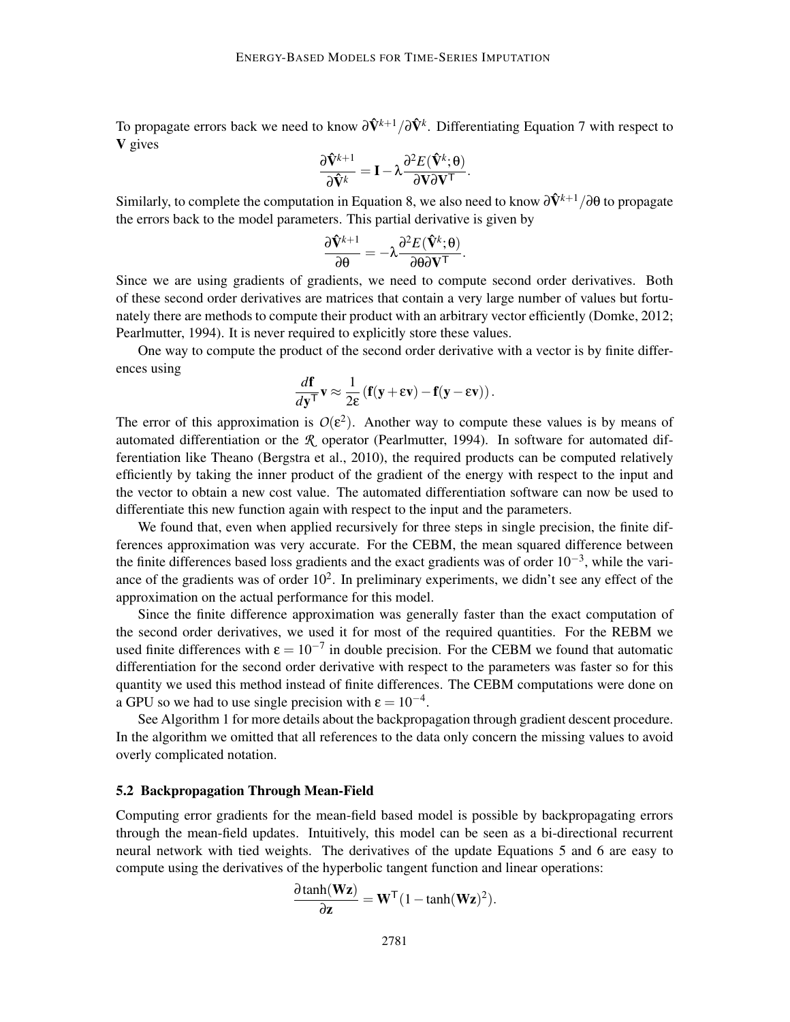To propagate errors back we need to know  $\partial \hat{V}^{k+1}/\partial \hat{V}^{k}$ . Differentiating Equation 7 with respect to V gives

$$
\frac{\partial \hat{\mathbf{V}}^{k+1}}{\partial \hat{\mathbf{V}}^k} = \mathbf{I} - \lambda \frac{\partial^2 E(\hat{\mathbf{V}}^k; \boldsymbol{\theta})}{\partial \mathbf{V} \partial \mathbf{V}^{\mathsf{T}}}.
$$

Similarly, to complete the computation in Equation 8, we also need to know  $\frac{\partial \hat{V}^{k+1}}{\partial \theta}$  to propagate the errors back to the model parameters. This partial derivative is given by

$$
\frac{\partial \hat{\mathbf{V}}^{k+1}}{\partial \theta} = -\lambda \frac{\partial^2 E(\hat{\mathbf{V}}^k; \theta)}{\partial \theta \partial \mathbf{V}^{\mathsf{T}}}.
$$

Since we are using gradients of gradients, we need to compute second order derivatives. Both of these second order derivatives are matrices that contain a very large number of values but fortunately there are methods to compute their product with an arbitrary vector efficiently (Domke, 2012; Pearlmutter, 1994). It is never required to explicitly store these values.

One way to compute the product of the second order derivative with a vector is by finite differences using

$$
\frac{d\mathbf{f}}{dy^{\mathsf{T}}} \mathbf{v} \approx \frac{1}{2\epsilon} \left( \mathbf{f}(\mathbf{y} + \epsilon \mathbf{v}) - \mathbf{f}(\mathbf{y} - \epsilon \mathbf{v}) \right).
$$

The error of this approximation is  $O(\varepsilon^2)$ . Another way to compute these values is by means of automated differentiation or the *R* operator (Pearlmutter, 1994). In software for automated differentiation like Theano (Bergstra et al., 2010), the required products can be computed relatively efficiently by taking the inner product of the gradient of the energy with respect to the input and the vector to obtain a new cost value. The automated differentiation software can now be used to differentiate this new function again with respect to the input and the parameters.

We found that, even when applied recursively for three steps in single precision, the finite differences approximation was very accurate. For the CEBM, the mean squared difference between the finite differences based loss gradients and the exact gradients was of order  $10^{-3}$ , while the variance of the gradients was of order  $10^2$ . In preliminary experiments, we didn't see any effect of the approximation on the actual performance for this model.

Since the finite difference approximation was generally faster than the exact computation of the second order derivatives, we used it for most of the required quantities. For the REBM we used finite differences with  $\epsilon = 10^{-7}$  in double precision. For the CEBM we found that automatic differentiation for the second order derivative with respect to the parameters was faster so for this quantity we used this method instead of finite differences. The CEBM computations were done on a GPU so we had to use single precision with  $\varepsilon = 10^{-4}$ .

See Algorithm 1 for more details about the backpropagation through gradient descent procedure. In the algorithm we omitted that all references to the data only concern the missing values to avoid overly complicated notation.

### 5.2 Backpropagation Through Mean-Field

Computing error gradients for the mean-field based model is possible by backpropagating errors through the mean-field updates. Intuitively, this model can be seen as a bi-directional recurrent neural network with tied weights. The derivatives of the update Equations 5 and 6 are easy to compute using the derivatives of the hyperbolic tangent function and linear operations:

$$
\frac{\partial \tanh(\mathbf{Wz})}{\partial \mathbf{z}} = \mathbf{W}^{\mathsf{T}} (1-\tanh(\mathbf{Wz})^2).
$$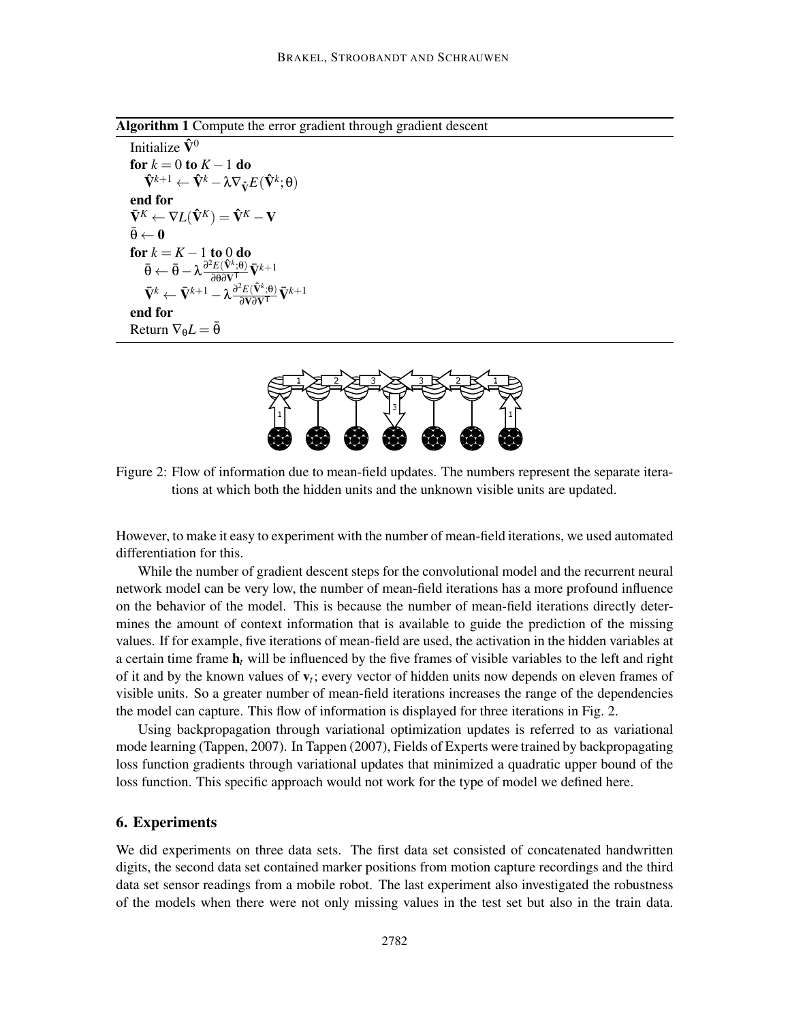Algorithm 1 Compute the error gradient through gradient descent

Initialize  $\hat{V}^0$ for  $k = 0$  to  $K - 1$  do  $\mathbf{\hat{V}}^{k+1} \leftarrow \mathbf{\hat{V}}^k - \lambda \nabla_{\mathbf{\hat{V}}} E(\mathbf{\hat{V}}^k; \mathbf{\theta})$ end for  $\tilde{\nabla}^{K} \leftarrow \nabla L(\hat{\nabla}^{K}) = \hat{\nabla}^{K} - \mathbf{V}$  $\bar{\theta} \leftarrow 0$ for  $k = K - 1$  to 0 do  $\bar{\pmb{\theta}} \leftarrow \bar{\pmb{\theta}} - \lambda \frac{\partial^2 E(\hat{\mathbf{V}}^k; \pmb{\theta})}{\partial \pmb{\theta}\partial \mathbf{V}^\mathsf{T}}\bar{\mathbf{V}}^{k+1}$  $\bar{\mathbf{V}}^k \leftarrow \bar{\mathbf{V}}^{k+1} - \lambda \frac{\partial^2 E(\hat{\mathbf{V}}^k;\Theta)}{\partial \mathbf{V}\partial \mathbf{V}^\mathsf{T}}\bar{\mathbf{V}}^{k+1}$ end for Return  $\nabla_{\theta}L = \overline{\theta}$ 



Figure 2: Flow of information due to mean-field updates. The numbers represent the separate iterations at which both the hidden units and the unknown visible units are updated.

However, to make it easy to experiment with the number of mean-field iterations, we used automated differentiation for this.

While the number of gradient descent steps for the convolutional model and the recurrent neural network model can be very low, the number of mean-field iterations has a more profound influence on the behavior of the model. This is because the number of mean-field iterations directly determines the amount of context information that is available to guide the prediction of the missing values. If for example, five iterations of mean-field are used, the activation in the hidden variables at a certain time frame  $h_t$  will be influenced by the five frames of visible variables to the left and right of it and by the known values of v*<sup>t</sup>* ; every vector of hidden units now depends on eleven frames of visible units. So a greater number of mean-field iterations increases the range of the dependencies the model can capture. This flow of information is displayed for three iterations in Fig. 2.

Using backpropagation through variational optimization updates is referred to as variational mode learning (Tappen, 2007). In Tappen (2007), Fields of Experts were trained by backpropagating loss function gradients through variational updates that minimized a quadratic upper bound of the loss function. This specific approach would not work for the type of model we defined here.

# 6. Experiments

We did experiments on three data sets. The first data set consisted of concatenated handwritten digits, the second data set contained marker positions from motion capture recordings and the third data set sensor readings from a mobile robot. The last experiment also investigated the robustness of the models when there were not only missing values in the test set but also in the train data.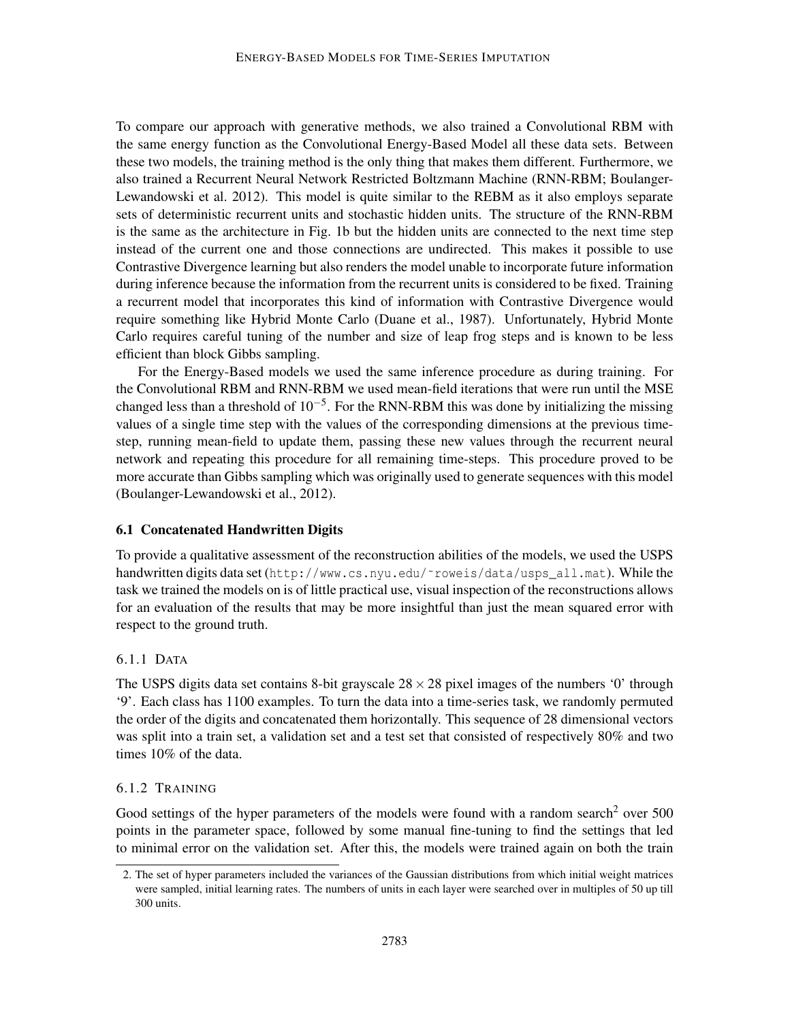To compare our approach with generative methods, we also trained a Convolutional RBM with the same energy function as the Convolutional Energy-Based Model all these data sets. Between these two models, the training method is the only thing that makes them different. Furthermore, we also trained a Recurrent Neural Network Restricted Boltzmann Machine (RNN-RBM; Boulanger-Lewandowski et al. 2012). This model is quite similar to the REBM as it also employs separate sets of deterministic recurrent units and stochastic hidden units. The structure of the RNN-RBM is the same as the architecture in Fig. 1b but the hidden units are connected to the next time step instead of the current one and those connections are undirected. This makes it possible to use Contrastive Divergence learning but also renders the model unable to incorporate future information during inference because the information from the recurrent units is considered to be fixed. Training a recurrent model that incorporates this kind of information with Contrastive Divergence would require something like Hybrid Monte Carlo (Duane et al., 1987). Unfortunately, Hybrid Monte Carlo requires careful tuning of the number and size of leap frog steps and is known to be less efficient than block Gibbs sampling.

For the Energy-Based models we used the same inference procedure as during training. For the Convolutional RBM and RNN-RBM we used mean-field iterations that were run until the MSE changed less than a threshold of  $10^{-5}$ . For the RNN-RBM this was done by initializing the missing values of a single time step with the values of the corresponding dimensions at the previous timestep, running mean-field to update them, passing these new values through the recurrent neural network and repeating this procedure for all remaining time-steps. This procedure proved to be more accurate than Gibbs sampling which was originally used to generate sequences with this model (Boulanger-Lewandowski et al., 2012).

#### 6.1 Concatenated Handwritten Digits

To provide a qualitative assessment of the reconstruction abilities of the models, we used the USPS handwritten digits data set (http://www.cs.nyu.edu/˜roweis/data/usps\_all.mat). While the task we trained the models on is of little practical use, visual inspection of the reconstructions allows for an evaluation of the results that may be more insightful than just the mean squared error with respect to the ground truth.

# 6.1.1 DATA

The USPS digits data set contains 8-bit grayscale  $28 \times 28$  pixel images of the numbers '0' through '9'. Each class has 1100 examples. To turn the data into a time-series task, we randomly permuted the order of the digits and concatenated them horizontally. This sequence of 28 dimensional vectors was split into a train set, a validation set and a test set that consisted of respectively 80% and two times 10% of the data.

#### 6.1.2 TRAINING

Good settings of the hyper parameters of the models were found with a random search<sup>2</sup> over 500 points in the parameter space, followed by some manual fine-tuning to find the settings that led to minimal error on the validation set. After this, the models were trained again on both the train

<sup>2.</sup> The set of hyper parameters included the variances of the Gaussian distributions from which initial weight matrices were sampled, initial learning rates. The numbers of units in each layer were searched over in multiples of 50 up till 300 units.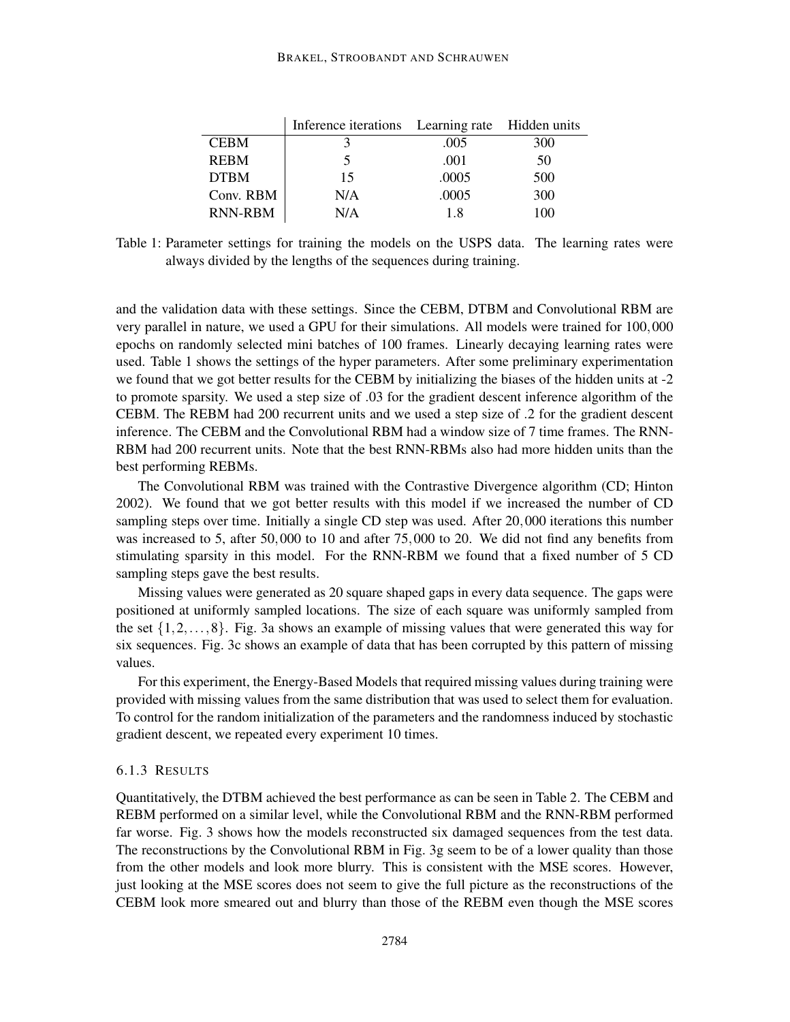#### BRAKEL, STROOBANDT AND SCHRAUWEN

|                | Inference iterations Learning rate Hidden units |       |     |
|----------------|-------------------------------------------------|-------|-----|
| <b>CEBM</b>    |                                                 | .005  | 300 |
| <b>REBM</b>    |                                                 | .001  | 50  |
| <b>DTBM</b>    | 15                                              | .0005 | 500 |
| Conv. RBM      | N/A                                             | .0005 | 300 |
| <b>RNN-RBM</b> | N/A                                             | 1.8   | 100 |

Table 1: Parameter settings for training the models on the USPS data. The learning rates were always divided by the lengths of the sequences during training.

and the validation data with these settings. Since the CEBM, DTBM and Convolutional RBM are very parallel in nature, we used a GPU for their simulations. All models were trained for 100,000 epochs on randomly selected mini batches of 100 frames. Linearly decaying learning rates were used. Table 1 shows the settings of the hyper parameters. After some preliminary experimentation we found that we got better results for the CEBM by initializing the biases of the hidden units at -2 to promote sparsity. We used a step size of .03 for the gradient descent inference algorithm of the CEBM. The REBM had 200 recurrent units and we used a step size of .2 for the gradient descent inference. The CEBM and the Convolutional RBM had a window size of 7 time frames. The RNN-RBM had 200 recurrent units. Note that the best RNN-RBMs also had more hidden units than the best performing REBMs.

The Convolutional RBM was trained with the Contrastive Divergence algorithm (CD; Hinton 2002). We found that we got better results with this model if we increased the number of CD sampling steps over time. Initially a single CD step was used. After 20,000 iterations this number was increased to 5, after 50,000 to 10 and after 75,000 to 20. We did not find any benefits from stimulating sparsity in this model. For the RNN-RBM we found that a fixed number of 5 CD sampling steps gave the best results.

Missing values were generated as 20 square shaped gaps in every data sequence. The gaps were positioned at uniformly sampled locations. The size of each square was uniformly sampled from the set  $\{1,2,\ldots,8\}$ . Fig. 3a shows an example of missing values that were generated this way for six sequences. Fig. 3c shows an example of data that has been corrupted by this pattern of missing values.

For this experiment, the Energy-Based Models that required missing values during training were provided with missing values from the same distribution that was used to select them for evaluation. To control for the random initialization of the parameters and the randomness induced by stochastic gradient descent, we repeated every experiment 10 times.

### 6.1.3 RESULTS

Quantitatively, the DTBM achieved the best performance as can be seen in Table 2. The CEBM and REBM performed on a similar level, while the Convolutional RBM and the RNN-RBM performed far worse. Fig. 3 shows how the models reconstructed six damaged sequences from the test data. The reconstructions by the Convolutional RBM in Fig. 3g seem to be of a lower quality than those from the other models and look more blurry. This is consistent with the MSE scores. However, just looking at the MSE scores does not seem to give the full picture as the reconstructions of the CEBM look more smeared out and blurry than those of the REBM even though the MSE scores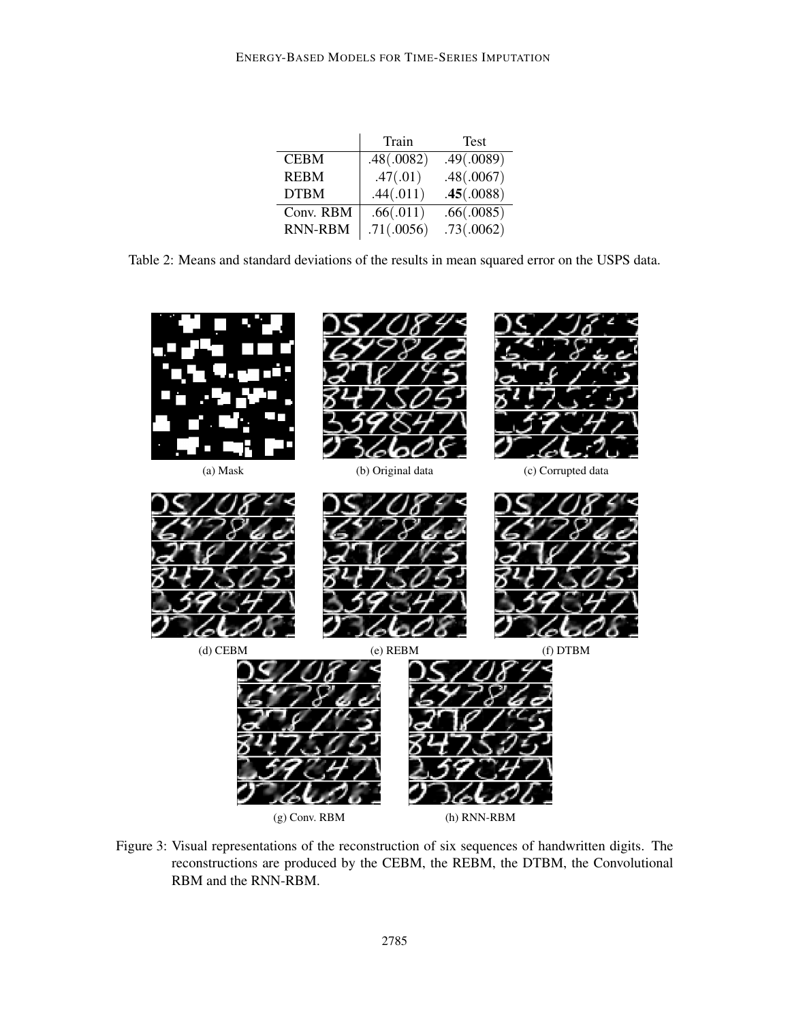|                | Train      | Test       |
|----------------|------------|------------|
| <b>CEBM</b>    | .48(.0082) | .49(.0089) |
| <b>REBM</b>    | .47(.01)   | .48(.0067) |
| <b>DTBM</b>    | .44(.011)  | .45(.0088) |
| Conv. RBM      | .66(.011)  | .66(.0085) |
| <b>RNN-RBM</b> | .71(.0056) | .73(.0062) |

Table 2: Means and standard deviations of the results in mean squared error on the USPS data.



Figure 3: Visual representations of the reconstruction of six sequences of handwritten digits. The reconstructions are produced by the CEBM, the REBM, the DTBM, the Convolutional RBM and the RNN-RBM.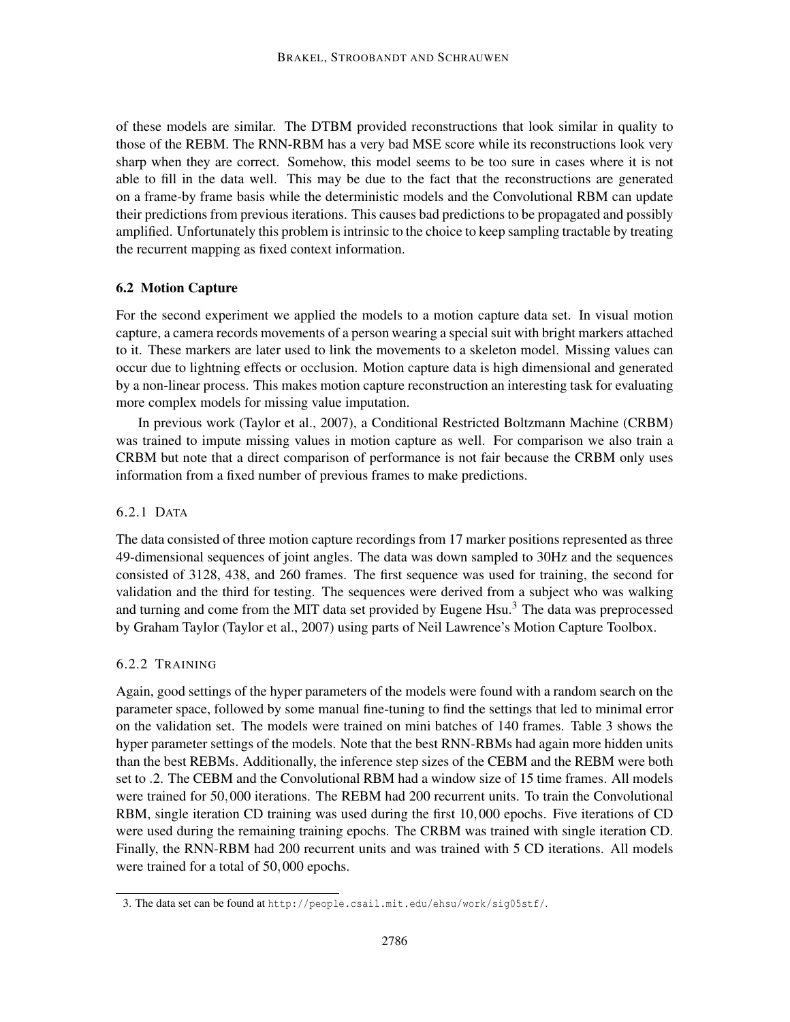of these models are similar. The DTBM provided reconstructions that look similar in quality to those of the REBM. The RNN-RBM has a very bad MSE score while its reconstructions look very sharp when they are correct. Somehow, this model seems to be too sure in cases where it is not able to fill in the data well. This may be due to the fact that the reconstructions are generated on a frame-by frame basis while the deterministic models and the Convolutional RBM can update their predictions from previous iterations. This causes bad predictions to be propagated and possibly amplified. Unfortunately this problem is intrinsic to the choice to keep sampling tractable by treating the recurrent mapping as fixed context information.

# 6.2 Motion Capture

For the second experiment we applied the models to a motion capture data set. In visual motion capture, a camera records movements of a person wearing a special suit with bright markers attached to it. These markers are later used to link the movements to a skeleton model. Missing values can occur due to lightning effects or occlusion. Motion capture data is high dimensional and generated by a non-linear process. This makes motion capture reconstruction an interesting task for evaluating more complex models for missing value imputation.

In previous work (Taylor et al., 2007), a Conditional Restricted Boltzmann Machine (CRBM) was trained to impute missing values in motion capture as well. For comparison we also train a CRBM but note that a direct comparison of performance is not fair because the CRBM only uses information from a fixed number of previous frames to make predictions.

### 6.2.1 DATA

The data consisted of three motion capture recordings from 17 marker positions represented as three 49-dimensional sequences of joint angles. The data was down sampled to 30Hz and the sequences consisted of 3128, 438, and 260 frames. The first sequence was used for training, the second for validation and the third for testing. The sequences were derived from a subject who was walking and turning and come from the MIT data set provided by Eugene Hsu.<sup>3</sup> The data was preprocessed by Graham Taylor (Taylor et al., 2007) using parts of Neil Lawrence's Motion Capture Toolbox.

### 6.2.2 TRAINING

Again, good settings of the hyper parameters of the models were found with a random search on the parameter space, followed by some manual fine-tuning to find the settings that led to minimal error on the validation set. The models were trained on mini batches of 140 frames. Table 3 shows the hyper parameter settings of the models. Note that the best RNN-RBMs had again more hidden units than the best REBMs. Additionally, the inference step sizes of the CEBM and the REBM were both set to .2. The CEBM and the Convolutional RBM had a window size of 15 time frames. All models were trained for 50,000 iterations. The REBM had 200 recurrent units. To train the Convolutional RBM, single iteration CD training was used during the first 10,000 epochs. Five iterations of CD were used during the remaining training epochs. The CRBM was trained with single iteration CD. Finally, the RNN-RBM had 200 recurrent units and was trained with 5 CD iterations. All models were trained for a total of 50,000 epochs.

<sup>3.</sup> The data set can be found at http://people.csail.mit.edu/ehsu/work/sig05stf/.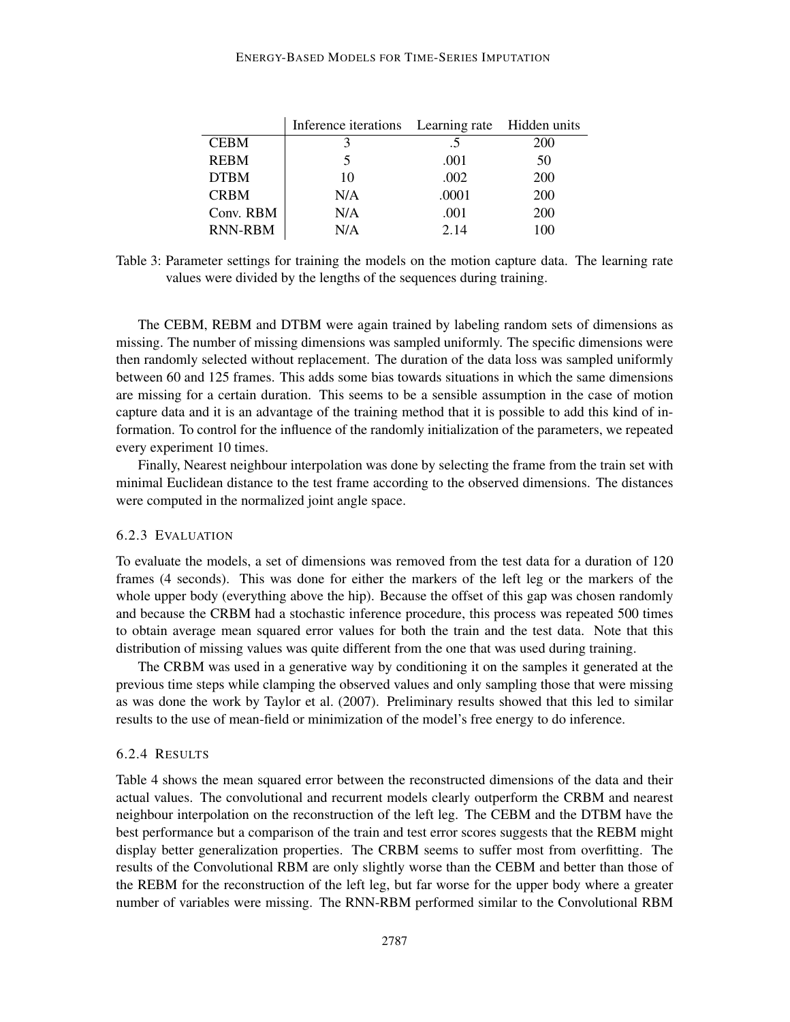#### ENERGY-BASED MODELS FOR TIME-SERIES IMPUTATION

|                | Inference iterations Learning rate Hidden units |       |     |
|----------------|-------------------------------------------------|-------|-----|
| <b>CEBM</b>    |                                                 | .5    | 200 |
| <b>REBM</b>    | 5                                               | .001  | 50  |
| <b>DTBM</b>    | 10                                              | .002  | 200 |
| <b>CRBM</b>    | N/A                                             | .0001 | 200 |
| Conv. RBM      | N/A                                             | .001  | 200 |
| <b>RNN-RBM</b> | N/A                                             | 2.14  | 100 |

Table 3: Parameter settings for training the models on the motion capture data. The learning rate values were divided by the lengths of the sequences during training.

The CEBM, REBM and DTBM were again trained by labeling random sets of dimensions as missing. The number of missing dimensions was sampled uniformly. The specific dimensions were then randomly selected without replacement. The duration of the data loss was sampled uniformly between 60 and 125 frames. This adds some bias towards situations in which the same dimensions are missing for a certain duration. This seems to be a sensible assumption in the case of motion capture data and it is an advantage of the training method that it is possible to add this kind of information. To control for the influence of the randomly initialization of the parameters, we repeated every experiment 10 times.

Finally, Nearest neighbour interpolation was done by selecting the frame from the train set with minimal Euclidean distance to the test frame according to the observed dimensions. The distances were computed in the normalized joint angle space.

### 6.2.3 EVALUATION

To evaluate the models, a set of dimensions was removed from the test data for a duration of 120 frames (4 seconds). This was done for either the markers of the left leg or the markers of the whole upper body (everything above the hip). Because the offset of this gap was chosen randomly and because the CRBM had a stochastic inference procedure, this process was repeated 500 times to obtain average mean squared error values for both the train and the test data. Note that this distribution of missing values was quite different from the one that was used during training.

The CRBM was used in a generative way by conditioning it on the samples it generated at the previous time steps while clamping the observed values and only sampling those that were missing as was done the work by Taylor et al. (2007). Preliminary results showed that this led to similar results to the use of mean-field or minimization of the model's free energy to do inference.

#### 6.2.4 RESULTS

Table 4 shows the mean squared error between the reconstructed dimensions of the data and their actual values. The convolutional and recurrent models clearly outperform the CRBM and nearest neighbour interpolation on the reconstruction of the left leg. The CEBM and the DTBM have the best performance but a comparison of the train and test error scores suggests that the REBM might display better generalization properties. The CRBM seems to suffer most from overfitting. The results of the Convolutional RBM are only slightly worse than the CEBM and better than those of the REBM for the reconstruction of the left leg, but far worse for the upper body where a greater number of variables were missing. The RNN-RBM performed similar to the Convolutional RBM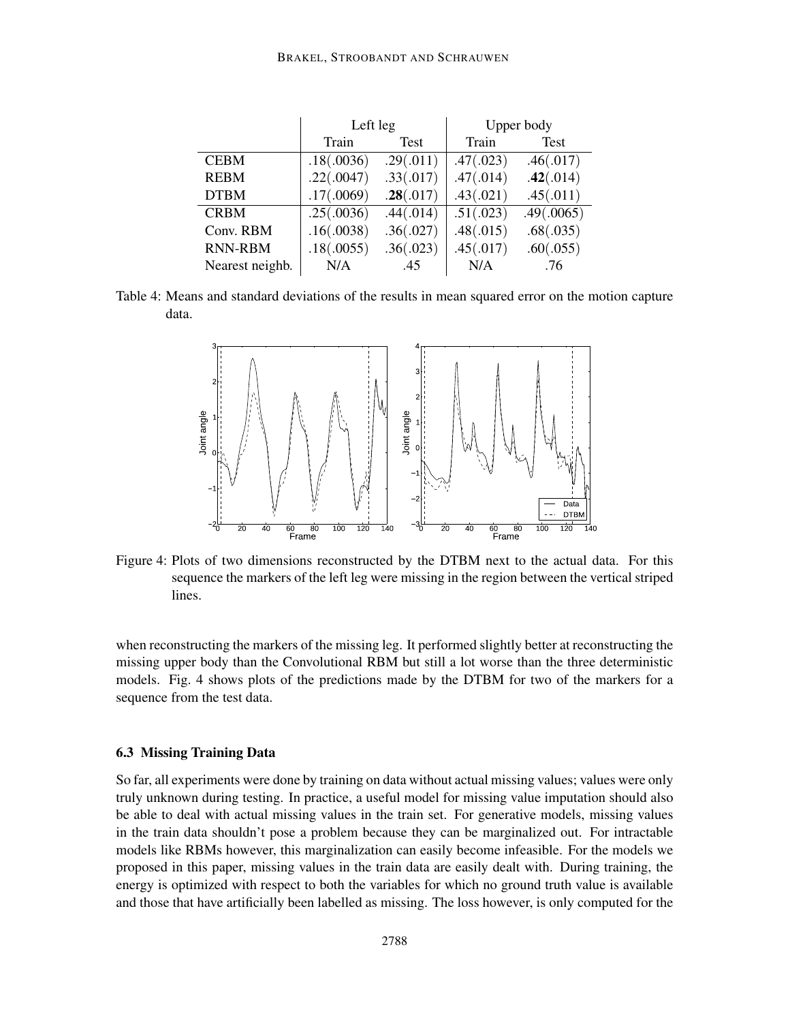|                 | Left leg   |           | Upper body |            |
|-----------------|------------|-----------|------------|------------|
|                 | Train      | Test      | Train      | Test       |
| <b>CEBM</b>     | .18(.0036) | .29(.011) | .47(.023)  | .46(.017)  |
| <b>REBM</b>     | .22(.0047) | .33(.017) | .47(.014)  | .42(.014)  |
| <b>DTBM</b>     | .17(.0069) | .28(.017) | .43(.021)  | .45(.011)  |
| <b>CRBM</b>     | .25(.0036) | .44(.014) | .51(.023)  | .49(.0065) |
| Conv. RBM       | .16(.0038) | .36(.027) | .48(.015)  | .68(.035)  |
| <b>RNN-RBM</b>  | .18(.0055) | .36(.023) | .45(.017)  | .60(.055)  |
| Nearest neighb. | N/A        | .45       | N/A        | .76        |

Table 4: Means and standard deviations of the results in mean squared error on the motion capture data.



Figure 4: Plots of two dimensions reconstructed by the DTBM next to the actual data. For this sequence the markers of the left leg were missing in the region between the vertical striped lines.

when reconstructing the markers of the missing leg. It performed slightly better at reconstructing the missing upper body than the Convolutional RBM but still a lot worse than the three deterministic models. Fig. 4 shows plots of the predictions made by the DTBM for two of the markers for a sequence from the test data.

#### 6.3 Missing Training Data

So far, all experiments were done by training on data without actual missing values; values were only truly unknown during testing. In practice, a useful model for missing value imputation should also be able to deal with actual missing values in the train set. For generative models, missing values in the train data shouldn't pose a problem because they can be marginalized out. For intractable models like RBMs however, this marginalization can easily become infeasible. For the models we proposed in this paper, missing values in the train data are easily dealt with. During training, the energy is optimized with respect to both the variables for which no ground truth value is available and those that have artificially been labelled as missing. The loss however, is only computed for the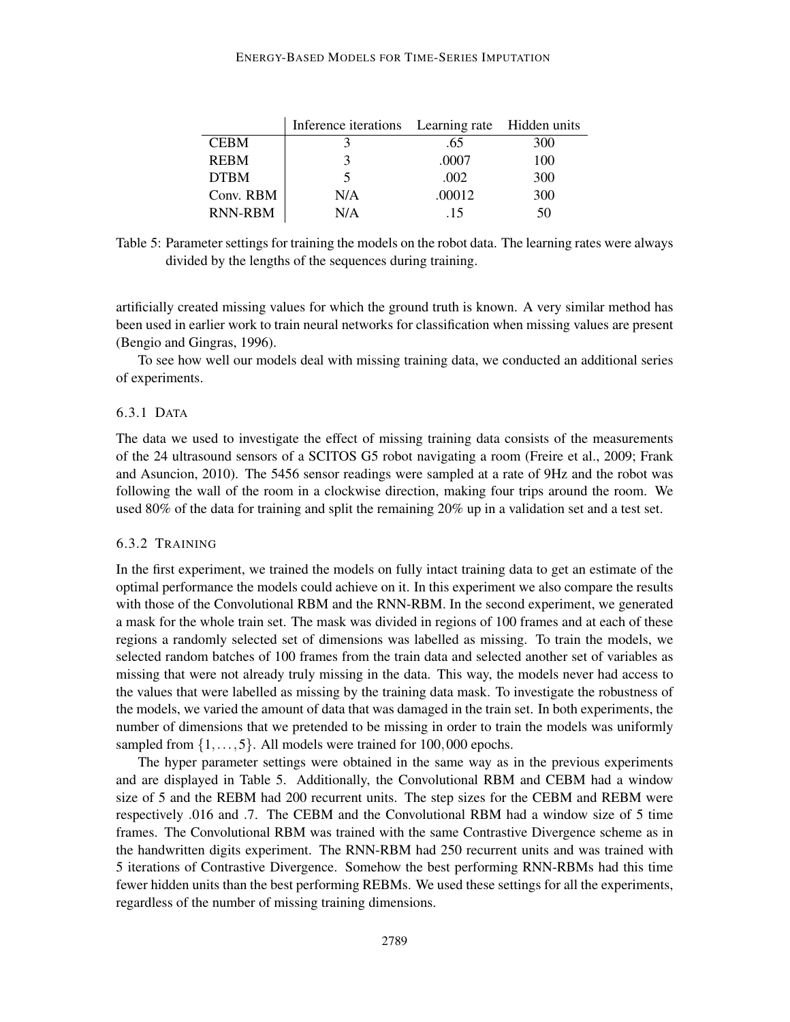#### ENERGY-BASED MODELS FOR TIME-SERIES IMPUTATION

|                | Inference iterations Learning rate Hidden units |        |     |
|----------------|-------------------------------------------------|--------|-----|
| <b>CEBM</b>    |                                                 | .65    | 300 |
| <b>REBM</b>    |                                                 | .0007  | 100 |
| <b>DTBM</b>    |                                                 | .002   | 300 |
| Conv. RBM      | N/A                                             | .00012 | 300 |
| <b>RNN-RBM</b> | N/A                                             | .15    | 50  |

Table 5: Parameter settings for training the models on the robot data. The learning rates were always divided by the lengths of the sequences during training.

artificially created missing values for which the ground truth is known. A very similar method has been used in earlier work to train neural networks for classification when missing values are present (Bengio and Gingras, 1996).

To see how well our models deal with missing training data, we conducted an additional series of experiments.

### 6.3.1 DATA

The data we used to investigate the effect of missing training data consists of the measurements of the 24 ultrasound sensors of a SCITOS G5 robot navigating a room (Freire et al., 2009; Frank and Asuncion, 2010). The 5456 sensor readings were sampled at a rate of 9Hz and the robot was following the wall of the room in a clockwise direction, making four trips around the room. We used 80% of the data for training and split the remaining 20% up in a validation set and a test set.

#### 6.3.2 TRAINING

In the first experiment, we trained the models on fully intact training data to get an estimate of the optimal performance the models could achieve on it. In this experiment we also compare the results with those of the Convolutional RBM and the RNN-RBM. In the second experiment, we generated a mask for the whole train set. The mask was divided in regions of 100 frames and at each of these regions a randomly selected set of dimensions was labelled as missing. To train the models, we selected random batches of 100 frames from the train data and selected another set of variables as missing that were not already truly missing in the data. This way, the models never had access to the values that were labelled as missing by the training data mask. To investigate the robustness of the models, we varied the amount of data that was damaged in the train set. In both experiments, the number of dimensions that we pretended to be missing in order to train the models was uniformly sampled from  $\{1,\ldots,5\}$ . All models were trained for 100,000 epochs.

The hyper parameter settings were obtained in the same way as in the previous experiments and are displayed in Table 5. Additionally, the Convolutional RBM and CEBM had a window size of 5 and the REBM had 200 recurrent units. The step sizes for the CEBM and REBM were respectively .016 and .7. The CEBM and the Convolutional RBM had a window size of 5 time frames. The Convolutional RBM was trained with the same Contrastive Divergence scheme as in the handwritten digits experiment. The RNN-RBM had 250 recurrent units and was trained with 5 iterations of Contrastive Divergence. Somehow the best performing RNN-RBMs had this time fewer hidden units than the best performing REBMs. We used these settings for all the experiments, regardless of the number of missing training dimensions.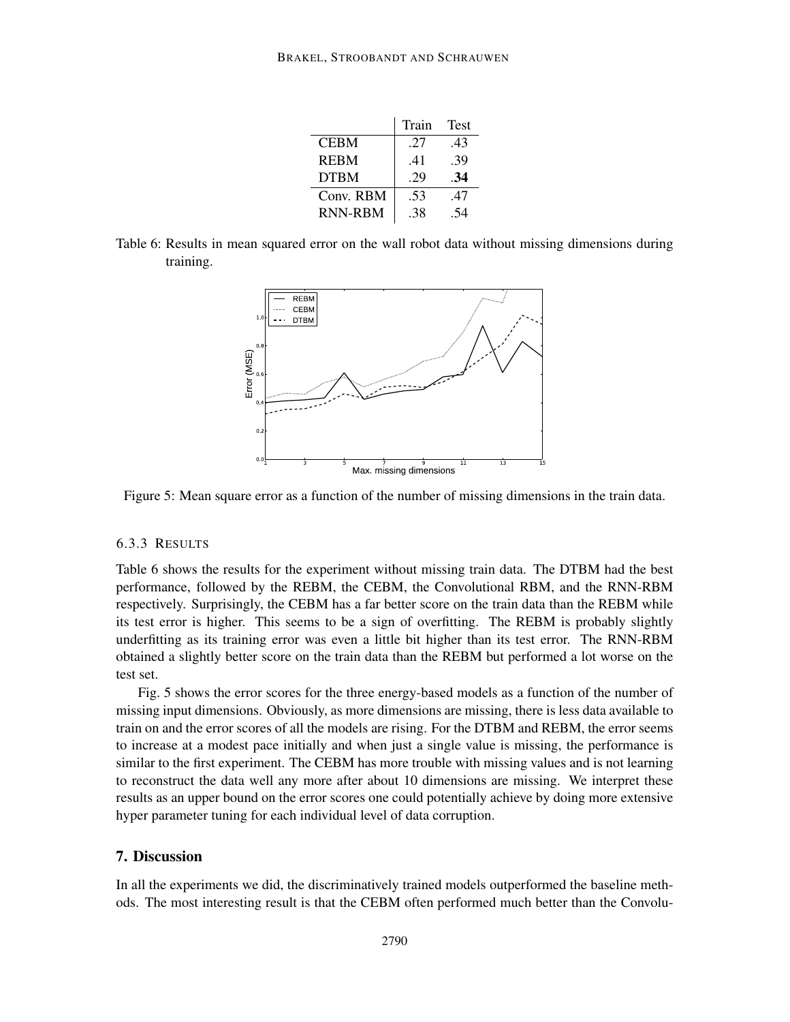|                | Train | Test |
|----------------|-------|------|
| <b>CEBM</b>    | .27   | .43  |
| <b>REBM</b>    | .41   | .39  |
| <b>DTBM</b>    | 29    | -34  |
| Conv. RBM      | .53   | .47  |
| <b>RNN-RBM</b> | .38   | 54   |

Table 6: Results in mean squared error on the wall robot data without missing dimensions during training.



Figure 5: Mean square error as a function of the number of missing dimensions in the train data.

### 6.3.3 RESULTS

Table 6 shows the results for the experiment without missing train data. The DTBM had the best performance, followed by the REBM, the CEBM, the Convolutional RBM, and the RNN-RBM respectively. Surprisingly, the CEBM has a far better score on the train data than the REBM while its test error is higher. This seems to be a sign of overfitting. The REBM is probably slightly underfitting as its training error was even a little bit higher than its test error. The RNN-RBM obtained a slightly better score on the train data than the REBM but performed a lot worse on the test set.

Fig. 5 shows the error scores for the three energy-based models as a function of the number of missing input dimensions. Obviously, as more dimensions are missing, there is less data available to train on and the error scores of all the models are rising. For the DTBM and REBM, the error seems to increase at a modest pace initially and when just a single value is missing, the performance is similar to the first experiment. The CEBM has more trouble with missing values and is not learning to reconstruct the data well any more after about 10 dimensions are missing. We interpret these results as an upper bound on the error scores one could potentially achieve by doing more extensive hyper parameter tuning for each individual level of data corruption.

### 7. Discussion

In all the experiments we did, the discriminatively trained models outperformed the baseline methods. The most interesting result is that the CEBM often performed much better than the Convolu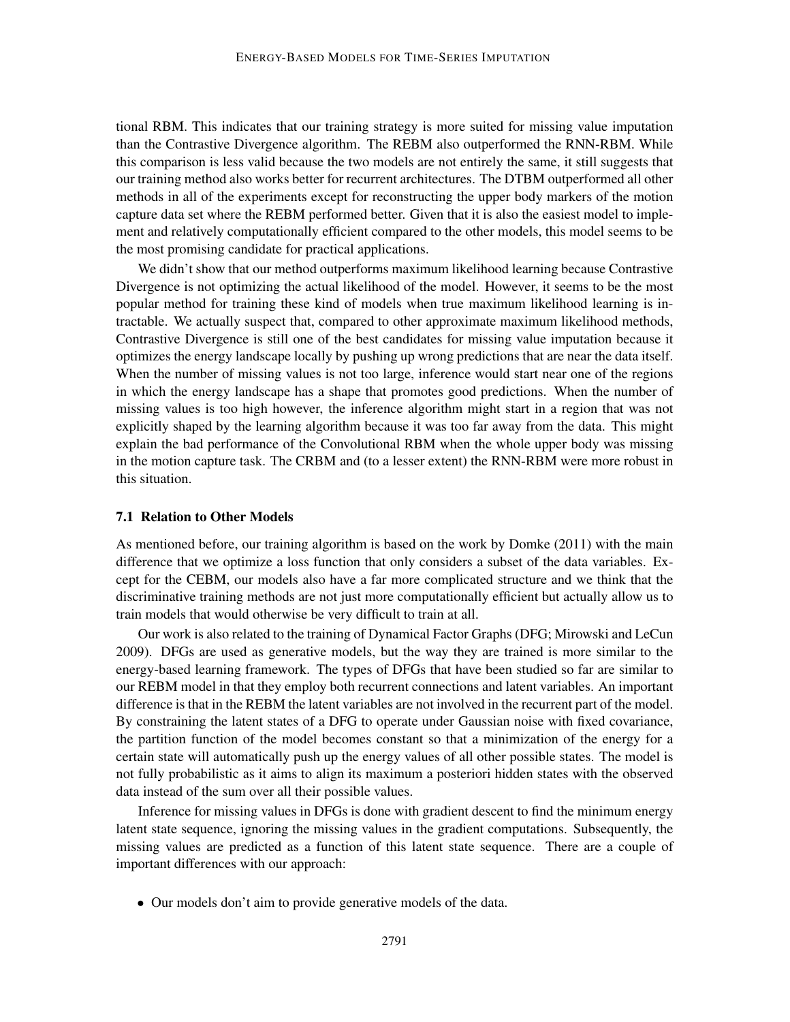tional RBM. This indicates that our training strategy is more suited for missing value imputation than the Contrastive Divergence algorithm. The REBM also outperformed the RNN-RBM. While this comparison is less valid because the two models are not entirely the same, it still suggests that our training method also works better for recurrent architectures. The DTBM outperformed all other methods in all of the experiments except for reconstructing the upper body markers of the motion capture data set where the REBM performed better. Given that it is also the easiest model to implement and relatively computationally efficient compared to the other models, this model seems to be the most promising candidate for practical applications.

We didn't show that our method outperforms maximum likelihood learning because Contrastive Divergence is not optimizing the actual likelihood of the model. However, it seems to be the most popular method for training these kind of models when true maximum likelihood learning is intractable. We actually suspect that, compared to other approximate maximum likelihood methods, Contrastive Divergence is still one of the best candidates for missing value imputation because it optimizes the energy landscape locally by pushing up wrong predictions that are near the data itself. When the number of missing values is not too large, inference would start near one of the regions in which the energy landscape has a shape that promotes good predictions. When the number of missing values is too high however, the inference algorithm might start in a region that was not explicitly shaped by the learning algorithm because it was too far away from the data. This might explain the bad performance of the Convolutional RBM when the whole upper body was missing in the motion capture task. The CRBM and (to a lesser extent) the RNN-RBM were more robust in this situation.

### 7.1 Relation to Other Models

As mentioned before, our training algorithm is based on the work by Domke (2011) with the main difference that we optimize a loss function that only considers a subset of the data variables. Except for the CEBM, our models also have a far more complicated structure and we think that the discriminative training methods are not just more computationally efficient but actually allow us to train models that would otherwise be very difficult to train at all.

Our work is also related to the training of Dynamical Factor Graphs (DFG; Mirowski and LeCun 2009). DFGs are used as generative models, but the way they are trained is more similar to the energy-based learning framework. The types of DFGs that have been studied so far are similar to our REBM model in that they employ both recurrent connections and latent variables. An important difference is that in the REBM the latent variables are not involved in the recurrent part of the model. By constraining the latent states of a DFG to operate under Gaussian noise with fixed covariance, the partition function of the model becomes constant so that a minimization of the energy for a certain state will automatically push up the energy values of all other possible states. The model is not fully probabilistic as it aims to align its maximum a posteriori hidden states with the observed data instead of the sum over all their possible values.

Inference for missing values in DFGs is done with gradient descent to find the minimum energy latent state sequence, ignoring the missing values in the gradient computations. Subsequently, the missing values are predicted as a function of this latent state sequence. There are a couple of important differences with our approach:

• Our models don't aim to provide generative models of the data.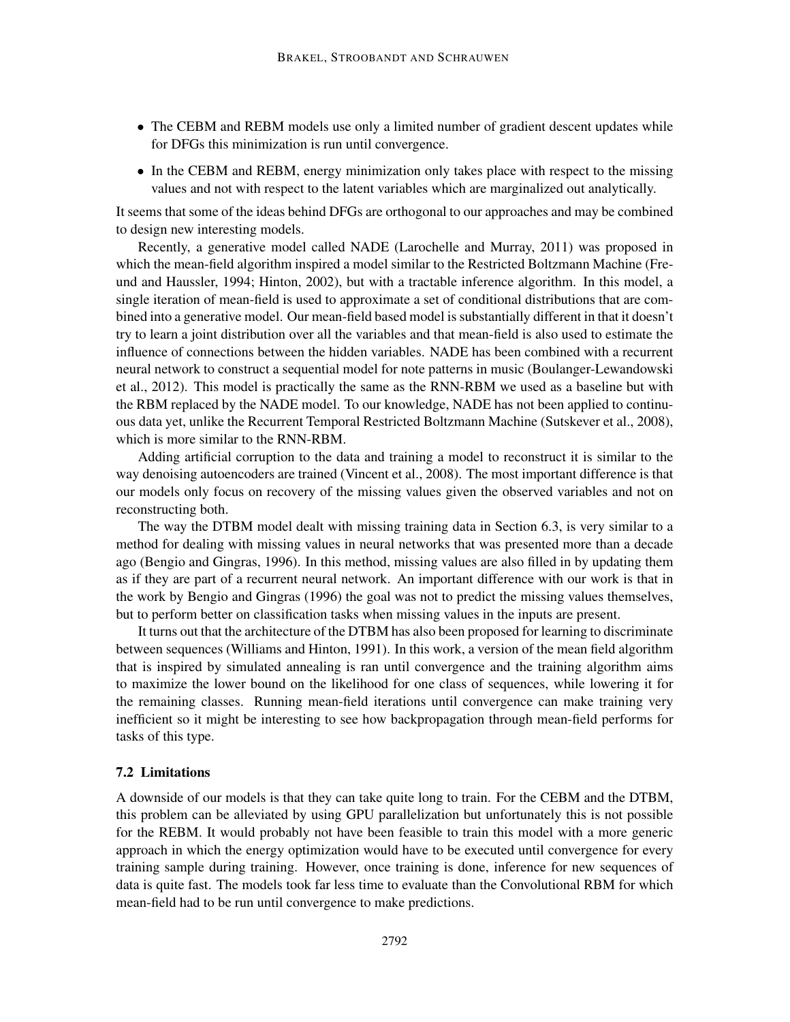- The CEBM and REBM models use only a limited number of gradient descent updates while for DFGs this minimization is run until convergence.
- In the CEBM and REBM, energy minimization only takes place with respect to the missing values and not with respect to the latent variables which are marginalized out analytically.

It seems that some of the ideas behind DFGs are orthogonal to our approaches and may be combined to design new interesting models.

Recently, a generative model called NADE (Larochelle and Murray, 2011) was proposed in which the mean-field algorithm inspired a model similar to the Restricted Boltzmann Machine (Freund and Haussler, 1994; Hinton, 2002), but with a tractable inference algorithm. In this model, a single iteration of mean-field is used to approximate a set of conditional distributions that are combined into a generative model. Our mean-field based model is substantially different in that it doesn't try to learn a joint distribution over all the variables and that mean-field is also used to estimate the influence of connections between the hidden variables. NADE has been combined with a recurrent neural network to construct a sequential model for note patterns in music (Boulanger-Lewandowski et al., 2012). This model is practically the same as the RNN-RBM we used as a baseline but with the RBM replaced by the NADE model. To our knowledge, NADE has not been applied to continuous data yet, unlike the Recurrent Temporal Restricted Boltzmann Machine (Sutskever et al., 2008), which is more similar to the RNN-RBM.

Adding artificial corruption to the data and training a model to reconstruct it is similar to the way denoising autoencoders are trained (Vincent et al., 2008). The most important difference is that our models only focus on recovery of the missing values given the observed variables and not on reconstructing both.

The way the DTBM model dealt with missing training data in Section 6.3, is very similar to a method for dealing with missing values in neural networks that was presented more than a decade ago (Bengio and Gingras, 1996). In this method, missing values are also filled in by updating them as if they are part of a recurrent neural network. An important difference with our work is that in the work by Bengio and Gingras (1996) the goal was not to predict the missing values themselves, but to perform better on classification tasks when missing values in the inputs are present.

It turns out that the architecture of the DTBM has also been proposed for learning to discriminate between sequences (Williams and Hinton, 1991). In this work, a version of the mean field algorithm that is inspired by simulated annealing is ran until convergence and the training algorithm aims to maximize the lower bound on the likelihood for one class of sequences, while lowering it for the remaining classes. Running mean-field iterations until convergence can make training very inefficient so it might be interesting to see how backpropagation through mean-field performs for tasks of this type.

### 7.2 Limitations

A downside of our models is that they can take quite long to train. For the CEBM and the DTBM, this problem can be alleviated by using GPU parallelization but unfortunately this is not possible for the REBM. It would probably not have been feasible to train this model with a more generic approach in which the energy optimization would have to be executed until convergence for every training sample during training. However, once training is done, inference for new sequences of data is quite fast. The models took far less time to evaluate than the Convolutional RBM for which mean-field had to be run until convergence to make predictions.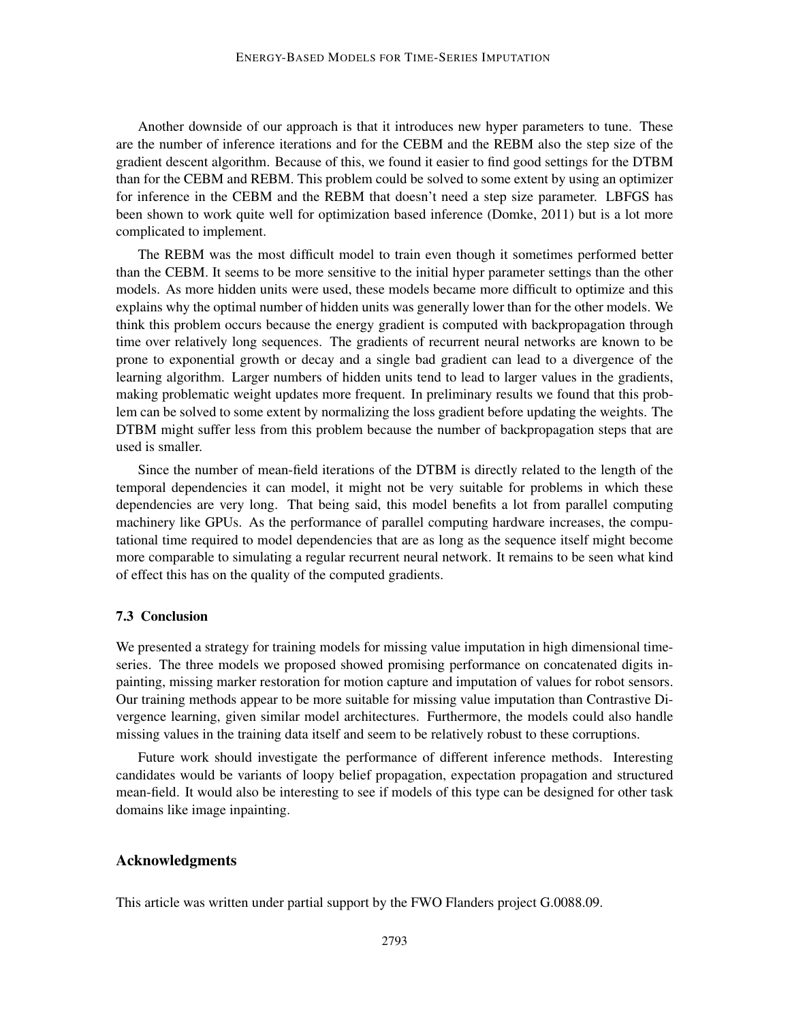Another downside of our approach is that it introduces new hyper parameters to tune. These are the number of inference iterations and for the CEBM and the REBM also the step size of the gradient descent algorithm. Because of this, we found it easier to find good settings for the DTBM than for the CEBM and REBM. This problem could be solved to some extent by using an optimizer for inference in the CEBM and the REBM that doesn't need a step size parameter. LBFGS has been shown to work quite well for optimization based inference (Domke, 2011) but is a lot more complicated to implement.

The REBM was the most difficult model to train even though it sometimes performed better than the CEBM. It seems to be more sensitive to the initial hyper parameter settings than the other models. As more hidden units were used, these models became more difficult to optimize and this explains why the optimal number of hidden units was generally lower than for the other models. We think this problem occurs because the energy gradient is computed with backpropagation through time over relatively long sequences. The gradients of recurrent neural networks are known to be prone to exponential growth or decay and a single bad gradient can lead to a divergence of the learning algorithm. Larger numbers of hidden units tend to lead to larger values in the gradients, making problematic weight updates more frequent. In preliminary results we found that this problem can be solved to some extent by normalizing the loss gradient before updating the weights. The DTBM might suffer less from this problem because the number of backpropagation steps that are used is smaller.

Since the number of mean-field iterations of the DTBM is directly related to the length of the temporal dependencies it can model, it might not be very suitable for problems in which these dependencies are very long. That being said, this model benefits a lot from parallel computing machinery like GPUs. As the performance of parallel computing hardware increases, the computational time required to model dependencies that are as long as the sequence itself might become more comparable to simulating a regular recurrent neural network. It remains to be seen what kind of effect this has on the quality of the computed gradients.

### 7.3 Conclusion

We presented a strategy for training models for missing value imputation in high dimensional timeseries. The three models we proposed showed promising performance on concatenated digits inpainting, missing marker restoration for motion capture and imputation of values for robot sensors. Our training methods appear to be more suitable for missing value imputation than Contrastive Divergence learning, given similar model architectures. Furthermore, the models could also handle missing values in the training data itself and seem to be relatively robust to these corruptions.

Future work should investigate the performance of different inference methods. Interesting candidates would be variants of loopy belief propagation, expectation propagation and structured mean-field. It would also be interesting to see if models of this type can be designed for other task domains like image inpainting.

### Acknowledgments

This article was written under partial support by the FWO Flanders project G.0088.09.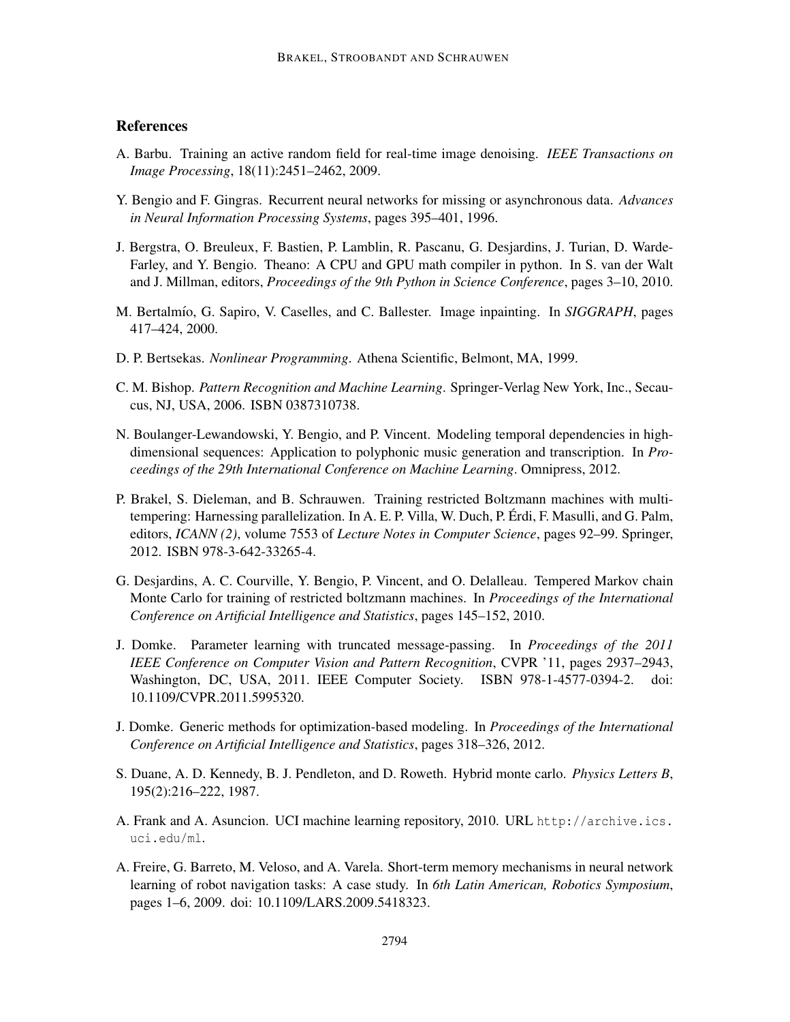# **References**

- A. Barbu. Training an active random field for real-time image denoising. *IEEE Transactions on Image Processing*, 18(11):2451–2462, 2009.
- Y. Bengio and F. Gingras. Recurrent neural networks for missing or asynchronous data. *Advances in Neural Information Processing Systems*, pages 395–401, 1996.
- J. Bergstra, O. Breuleux, F. Bastien, P. Lamblin, R. Pascanu, G. Desjardins, J. Turian, D. Warde-Farley, and Y. Bengio. Theano: A CPU and GPU math compiler in python. In S. van der Walt and J. Millman, editors, *Proceedings of the 9th Python in Science Conference*, pages 3–10, 2010.
- M. Bertalmío, G. Sapiro, V. Caselles, and C. Ballester. Image inpainting. In *SIGGRAPH*, pages 417–424, 2000.
- D. P. Bertsekas. *Nonlinear Programming*. Athena Scientific, Belmont, MA, 1999.
- C. M. Bishop. *Pattern Recognition and Machine Learning*. Springer-Verlag New York, Inc., Secaucus, NJ, USA, 2006. ISBN 0387310738.
- N. Boulanger-Lewandowski, Y. Bengio, and P. Vincent. Modeling temporal dependencies in highdimensional sequences: Application to polyphonic music generation and transcription. In *Proceedings of the 29th International Conference on Machine Learning*. Omnipress, 2012.
- P. Brakel, S. Dieleman, and B. Schrauwen. Training restricted Boltzmann machines with multitempering: Harnessing parallelization. In A. E. P. Villa, W. Duch, P. Erdi, F. Masulli, and G. Palm, ´ editors, *ICANN (2)*, volume 7553 of *Lecture Notes in Computer Science*, pages 92–99. Springer, 2012. ISBN 978-3-642-33265-4.
- G. Desjardins, A. C. Courville, Y. Bengio, P. Vincent, and O. Delalleau. Tempered Markov chain Monte Carlo for training of restricted boltzmann machines. In *Proceedings of the International Conference on Artificial Intelligence and Statistics*, pages 145–152, 2010.
- J. Domke. Parameter learning with truncated message-passing. In *Proceedings of the 2011 IEEE Conference on Computer Vision and Pattern Recognition*, CVPR '11, pages 2937–2943, Washington, DC, USA, 2011. IEEE Computer Society. ISBN 978-1-4577-0394-2. doi: 10.1109/CVPR.2011.5995320.
- J. Domke. Generic methods for optimization-based modeling. In *Proceedings of the International Conference on Artificial Intelligence and Statistics*, pages 318–326, 2012.
- S. Duane, A. D. Kennedy, B. J. Pendleton, and D. Roweth. Hybrid monte carlo. *Physics Letters B*, 195(2):216–222, 1987.
- A. Frank and A. Asuncion. UCI machine learning repository, 2010. URL http://archive.ics. uci.edu/ml.
- A. Freire, G. Barreto, M. Veloso, and A. Varela. Short-term memory mechanisms in neural network learning of robot navigation tasks: A case study. In *6th Latin American, Robotics Symposium*, pages 1–6, 2009. doi: 10.1109/LARS.2009.5418323.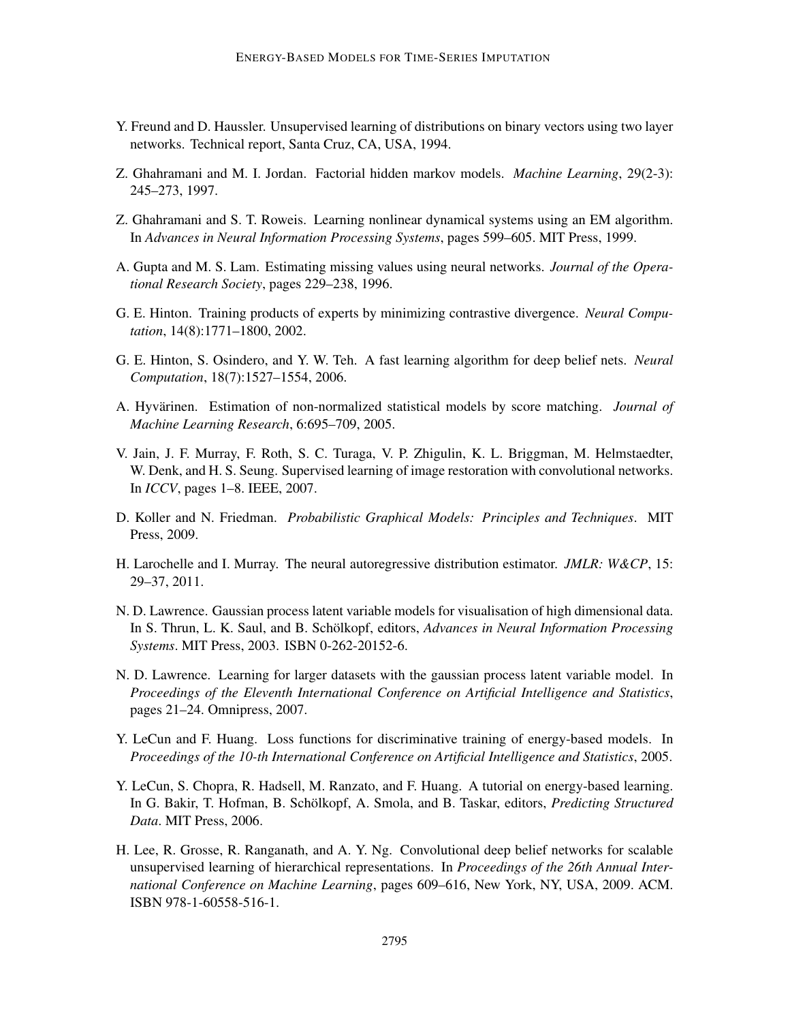- Y. Freund and D. Haussler. Unsupervised learning of distributions on binary vectors using two layer networks. Technical report, Santa Cruz, CA, USA, 1994.
- Z. Ghahramani and M. I. Jordan. Factorial hidden markov models. *Machine Learning*, 29(2-3): 245–273, 1997.
- Z. Ghahramani and S. T. Roweis. Learning nonlinear dynamical systems using an EM algorithm. In *Advances in Neural Information Processing Systems*, pages 599–605. MIT Press, 1999.
- A. Gupta and M. S. Lam. Estimating missing values using neural networks. *Journal of the Operational Research Society*, pages 229–238, 1996.
- G. E. Hinton. Training products of experts by minimizing contrastive divergence. *Neural Computation*, 14(8):1771–1800, 2002.
- G. E. Hinton, S. Osindero, and Y. W. Teh. A fast learning algorithm for deep belief nets. *Neural Computation*, 18(7):1527–1554, 2006.
- A. Hyvärinen. Estimation of non-normalized statistical models by score matching. *Journal of Machine Learning Research*, 6:695–709, 2005.
- V. Jain, J. F. Murray, F. Roth, S. C. Turaga, V. P. Zhigulin, K. L. Briggman, M. Helmstaedter, W. Denk, and H. S. Seung. Supervised learning of image restoration with convolutional networks. In *ICCV*, pages 1–8. IEEE, 2007.
- D. Koller and N. Friedman. *Probabilistic Graphical Models: Principles and Techniques*. MIT Press, 2009.
- H. Larochelle and I. Murray. The neural autoregressive distribution estimator. *JMLR: W&CP*, 15: 29–37, 2011.
- N. D. Lawrence. Gaussian process latent variable models for visualisation of high dimensional data. In S. Thrun, L. K. Saul, and B. Schölkopf, editors, Advances in Neural Information Processing *Systems*. MIT Press, 2003. ISBN 0-262-20152-6.
- N. D. Lawrence. Learning for larger datasets with the gaussian process latent variable model. In *Proceedings of the Eleventh International Conference on Artificial Intelligence and Statistics*, pages 21–24. Omnipress, 2007.
- Y. LeCun and F. Huang. Loss functions for discriminative training of energy-based models. In *Proceedings of the 10-th International Conference on Artificial Intelligence and Statistics*, 2005.
- Y. LeCun, S. Chopra, R. Hadsell, M. Ranzato, and F. Huang. A tutorial on energy-based learning. In G. Bakir, T. Hofman, B. Schölkopf, A. Smola, and B. Taskar, editors, *Predicting Structured Data*. MIT Press, 2006.
- H. Lee, R. Grosse, R. Ranganath, and A. Y. Ng. Convolutional deep belief networks for scalable unsupervised learning of hierarchical representations. In *Proceedings of the 26th Annual International Conference on Machine Learning*, pages 609–616, New York, NY, USA, 2009. ACM. ISBN 978-1-60558-516-1.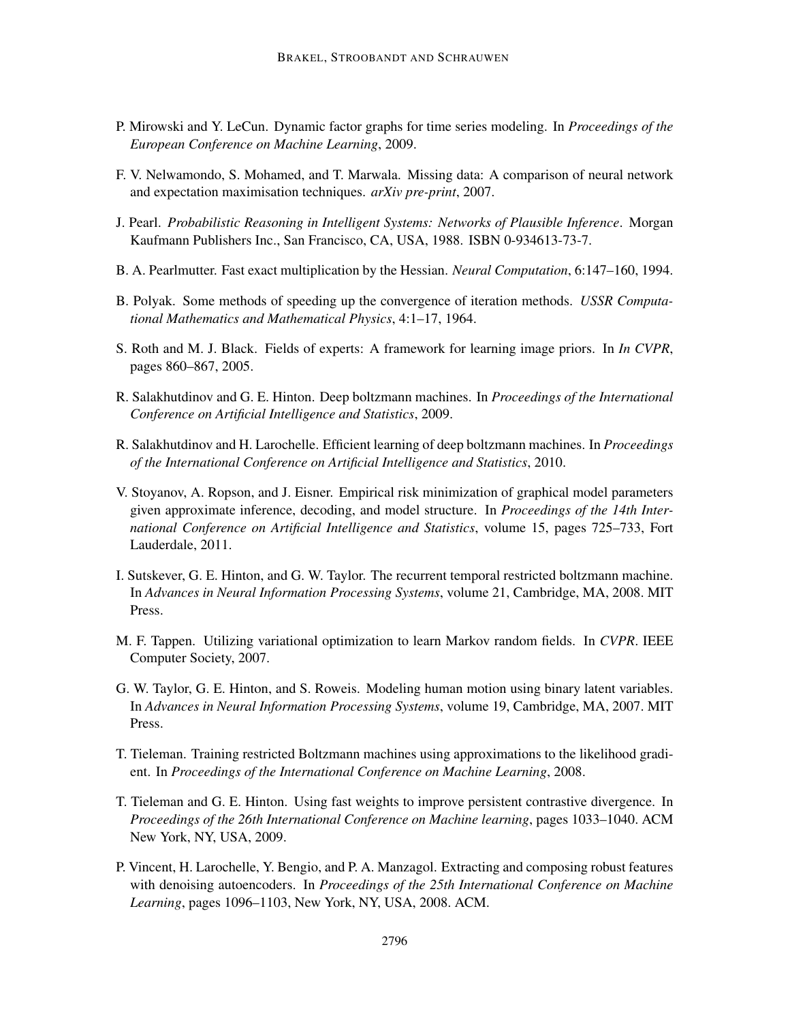- P. Mirowski and Y. LeCun. Dynamic factor graphs for time series modeling. In *Proceedings of the European Conference on Machine Learning*, 2009.
- F. V. Nelwamondo, S. Mohamed, and T. Marwala. Missing data: A comparison of neural network and expectation maximisation techniques. *arXiv pre-print*, 2007.
- J. Pearl. *Probabilistic Reasoning in Intelligent Systems: Networks of Plausible Inference*. Morgan Kaufmann Publishers Inc., San Francisco, CA, USA, 1988. ISBN 0-934613-73-7.
- B. A. Pearlmutter. Fast exact multiplication by the Hessian. *Neural Computation*, 6:147–160, 1994.
- B. Polyak. Some methods of speeding up the convergence of iteration methods. *USSR Computational Mathematics and Mathematical Physics*, 4:1–17, 1964.
- S. Roth and M. J. Black. Fields of experts: A framework for learning image priors. In *In CVPR*, pages 860–867, 2005.
- R. Salakhutdinov and G. E. Hinton. Deep boltzmann machines. In *Proceedings of the International Conference on Artificial Intelligence and Statistics*, 2009.
- R. Salakhutdinov and H. Larochelle. Efficient learning of deep boltzmann machines. In *Proceedings of the International Conference on Artificial Intelligence and Statistics*, 2010.
- V. Stoyanov, A. Ropson, and J. Eisner. Empirical risk minimization of graphical model parameters given approximate inference, decoding, and model structure. In *Proceedings of the 14th International Conference on Artificial Intelligence and Statistics*, volume 15, pages 725–733, Fort Lauderdale, 2011.
- I. Sutskever, G. E. Hinton, and G. W. Taylor. The recurrent temporal restricted boltzmann machine. In *Advances in Neural Information Processing Systems*, volume 21, Cambridge, MA, 2008. MIT Press.
- M. F. Tappen. Utilizing variational optimization to learn Markov random fields. In *CVPR*. IEEE Computer Society, 2007.
- G. W. Taylor, G. E. Hinton, and S. Roweis. Modeling human motion using binary latent variables. In *Advances in Neural Information Processing Systems*, volume 19, Cambridge, MA, 2007. MIT Press.
- T. Tieleman. Training restricted Boltzmann machines using approximations to the likelihood gradient. In *Proceedings of the International Conference on Machine Learning*, 2008.
- T. Tieleman and G. E. Hinton. Using fast weights to improve persistent contrastive divergence. In *Proceedings of the 26th International Conference on Machine learning*, pages 1033–1040. ACM New York, NY, USA, 2009.
- P. Vincent, H. Larochelle, Y. Bengio, and P. A. Manzagol. Extracting and composing robust features with denoising autoencoders. In *Proceedings of the 25th International Conference on Machine Learning*, pages 1096–1103, New York, NY, USA, 2008. ACM.